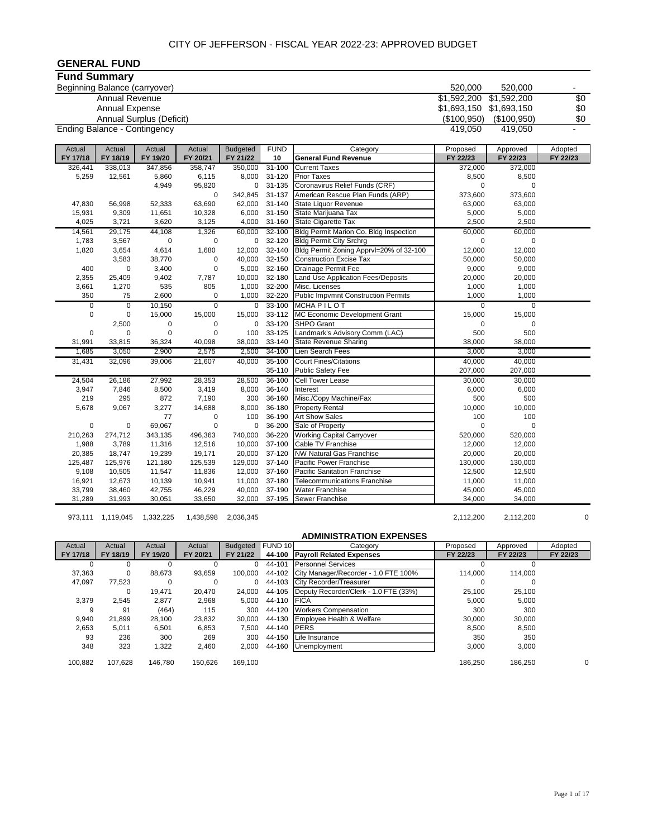| <b>GENERAL FUND</b>                 |                       |                          |                    |                 |                  |                                                              |                |                |          |
|-------------------------------------|-----------------------|--------------------------|--------------------|-----------------|------------------|--------------------------------------------------------------|----------------|----------------|----------|
| <b>Fund Summary</b>                 |                       |                          |                    |                 |                  |                                                              |                |                |          |
| Beginning Balance (carryover)       |                       |                          |                    |                 |                  |                                                              | 520,000        | 520,000        |          |
|                                     | <b>Annual Revenue</b> |                          |                    |                 |                  |                                                              | \$1,592,200    | \$1,592,200    | \$0      |
|                                     | Annual Expense        |                          |                    |                 |                  |                                                              | \$1,693,150    | \$1,693,150    | \$0      |
|                                     |                       | Annual Surplus (Deficit) |                    |                 |                  |                                                              | (\$100,950)    | (\$100,950)    | \$0      |
| <b>Ending Balance - Contingency</b> |                       |                          |                    |                 |                  |                                                              | 419,050        | 419,050        |          |
|                                     |                       |                          |                    |                 |                  |                                                              |                |                |          |
| Actual                              | Actual                | Actual                   | Actual             | <b>Budgeted</b> | <b>FUND</b>      | Category                                                     | Proposed       | Approved       | Adopted  |
| FY 17/18                            | FY 18/19              | FY 19/20                 | FY 20/21           | FY 21/22        | 10               | <b>General Fund Revenue</b>                                  | FY 22/23       | FY 22/23       | FY 22/23 |
| 326,441                             | 338,013               | 347,856                  | 358,747            | 350,000         | $31 - 100$       | <b>Current Taxes</b>                                         | 372,000        | 372,000        |          |
| 5,259                               | 12,561                | 5,860                    | 6,115              | 8,000           | 31-120           | <b>Prior Taxes</b>                                           | 8,500          | 8,500          |          |
|                                     |                       | 4,949                    | 95,820             | 0               | 31-135           | Coronavirus Relief Funds (CRF)                               | $\mathbf 0$    | $\Omega$       |          |
|                                     |                       |                          | $\mathbf 0$        | 342,845         | 31-137           | American Rescue Plan Funds (ARP)                             | 373,600        | 373,600        |          |
| 47,830                              | 56,998                | 52,333                   | 63,690             | 62,000          | 31-140           | State Liquor Revenue                                         | 63,000         | 63,000         |          |
| 15,931                              | 9,309                 | 11,651                   | 10,328             | 6,000           | 31-150           | State Marijuana Tax                                          | 5,000          | 5,000          |          |
| 4,025                               | 3,721                 | 3,620                    | 3,125              | 4,000           | 31-160           | State Cigarette Tax                                          | 2,500          | 2,500          |          |
| 14,561                              | 29,175                | 44,108                   | 1,326              | 60,000          | $32 - 100$       | Bldg Permit Marion Co. Bldg Inspection                       | 60,000         | 60,000         |          |
| 1,783                               | 3,567                 | $\pmb{0}$                | $\mathbf 0$        | 0               | 32-120           | <b>Bldg Permit City Srchrg</b>                               | 0              | 0              |          |
| 1,820                               | 3,654                 | 4,614                    | 1,680              | 12,000          | 32-140           | Bldg Permit Zoning Apprvl=20% of 32-100                      | 12,000         | 12,000         |          |
|                                     | 3,583                 | 38,770                   | $\mathbf 0$        | 40,000          | 32-150           | <b>Construction Excise Tax</b>                               | 50,000         | 50,000         |          |
| 400                                 | $\pmb{0}$             | 3,400                    | $\mathbf 0$        | 5,000           | 32-160           | Drainage Permit Fee                                          | 9,000          | 9,000          |          |
| 2,355                               | 25,409                | 9,402                    | 7,787              | 10,000          | 32-180           | Land Use Application Fees/Deposits                           | 20,000         | 20,000         |          |
| 3,661<br>350                        | 1,270<br>75           | 535<br>2,600             | 805<br>$\mathbf 0$ | 1,000<br>1,000  | 32-200<br>32-220 | Misc. Licenses<br><b>Public Impvmnt Construction Permits</b> | 1,000<br>1,000 | 1,000<br>1,000 |          |
| $\overline{0}$                      | $\overline{0}$        | 10,150                   | $\overline{0}$     | $\overline{0}$  | 33-100           | <b>MCHAPILOT</b>                                             | $\overline{0}$ | $\overline{0}$ |          |
| $\mathbf 0$                         | $\pmb{0}$             | 15,000                   | 15,000             | 15,000          | 33-112           | MC Economic Development Grant                                | 15,000         | 15,000         |          |
|                                     | 2,500                 | $\pmb{0}$                | $\mathbf 0$        | 0               | 33-120           | <b>SHPO</b> Grant                                            | $\mathbf 0$    | $\Omega$       |          |
| 0                                   | $\pmb{0}$             | $\mathbf 0$              | $\mathbf 0$        | 100             | 33-125           | Landmark's Advisory Comm (LAC)                               | 500            | 500            |          |
| 31,991                              | 33,815                | 36,324                   | 40,098             | 38,000          | 33-140           | <b>State Revenue Sharing</b>                                 | 38,000         | 38,000         |          |
| 1,685                               | 3,050                 | 2,900                    | 2,575              | 2,500           | 34-100           | Lien Search Fees                                             | 3,000          | 3,000          |          |
| 31,431                              | 32,096                | 39,006                   | 21,607             | 40,000          | 35-100           | <b>Court Fines/Citations</b>                                 | 40,000         | 40,000         |          |
|                                     |                       |                          |                    |                 | 35-110           | <b>Public Safety Fee</b>                                     | 207,000        | 207,000        |          |
| 24,504                              | 26,186                | 27,992                   | 28,353             | 28,500          | 36-100           | <b>Cell Tower Lease</b>                                      | 30,000         | 30,000         |          |
| 3,947                               | 7,846                 | 8,500                    | 3,419              | 8,000           | 36-140           | Interest                                                     | 6,000          | 6,000          |          |
| 219                                 | 295                   | 872                      | 7,190              | 300             | 36-160           | Misc./Copy Machine/Fax                                       | 500            | 500            |          |
| 5,678                               | 9,067                 | 3,277                    | 14,688             | 8,000           | 36-180           | <b>Property Rental</b>                                       | 10,000         | 10,000         |          |
|                                     |                       | 77                       | $\mathbf 0$        | 100             | 36-190           | <b>Art Show Sales</b>                                        | 100            | 100            |          |
| 0                                   | $\pmb{0}$             | 69,067                   | $\mathbf 0$        | 0               | 36-200           | Sale of Property                                             | 0              | $\Omega$       |          |
| 210,263                             | 274,712               | 343,135                  | 496,363            | 740,000         | 36-220           | <b>Working Capital Carryover</b>                             | 520,000        | 520,000        |          |
| 1,988                               | 3,789                 | 11,316                   | 12,516             | 10,000          | 37-100           | Cable TV Franchise                                           | 12,000         | 12,000         |          |
| 20,385                              | 18,747                | 19,239                   | 19,171             | 20,000          | 37-120           | <b>NW Natural Gas Franchise</b>                              | 20,000         | 20,000         |          |
| 125,487                             | 125,976               | 121,180                  | 125,539            | 129,000         | 37-140           | Pacific Power Franchise                                      | 130,000        | 130,000        |          |
| 9,108                               | 10,505                | 11,547                   | 11,836             | 12,000          | 37-160           | <b>Pacific Sanitation Franchise</b>                          | 12,500         | 12,500         |          |
| 16,921                              | 12,673                | 10,139                   | 10,941             | 11,000          | 37-180           | <b>Telecommunications Franchise</b>                          | 11,000         | 11,000         |          |
| 33,799                              | 38,460                | 42,755                   | 46,229             | 40,000          | 37-190           | <b>Water Franchise</b>                                       | 45,000         | 45,000         |          |
| 31,289                              | 31,993                | 30,051                   | 33,650             | 32,000          | 37-195           | Sewer Franchise                                              | 34,000         | 34,000         |          |

973,111 1,119,045 1,332,225 1,438,598 2,036,345 2,112,200 2,112,200 0

#### **ADMINISTRATION EXPENSES**

| Actual   | Actual   | Actual   | Actual   | <b>Budgeted</b> | FUND 10     | Category                                     | Proposed | Approved | Adopted  |
|----------|----------|----------|----------|-----------------|-------------|----------------------------------------------|----------|----------|----------|
| FY 17/18 | FY 18/19 | FY 19/20 | FY 20/21 | FY 21/22        |             | 44-100 Payroll Related Expenses              | FY 22/23 | FY 22/23 | FY 22/23 |
| 0        |          |          |          | 0               | 44-101      | <b>Personnel Services</b>                    |          |          |          |
| 37.363   | 0        | 88.673   | 93,659   | 100.000         | 44-102      | City Manager/Recorder - 1.0 FTE 100%         | 114.000  | 114.000  |          |
| 47.097   | 77,523   |          |          | 0               | 44-103      | City Recorder/Treasurer                      |          |          |          |
|          | 0        | 19.471   | 20.470   | 24.000          |             | 44-105 Deputy Recorder/Clerk - 1.0 FTE (33%) | 25,100   | 25,100   |          |
| 3.379    | 2.545    | 2.877    | 2,968    | 5.000           | 44-110 FICA |                                              | 5.000    | 5.000    |          |
| 9        | 91       | (464)    | 115      | 300             | 44-120      | <b>Workers Compensation</b>                  | 300      | 300      |          |
| 9,940    | 21,899   | 28,100   | 23,832   | 30.000          | 44-130      | Employee Health & Welfare                    | 30,000   | 30,000   |          |
| 2,653    | 5.011    | 6,501    | 6,853    | 7.500           | 44-140      | <b>PERS</b>                                  | 8,500    | 8,500    |          |
| 93       | 236      | 300      | 269      | 300             | 44-150      | Life Insurance                               | 350      | 350      |          |
| 348      | 323      | 1,322    | 2,460    | 2,000           | 44-160      | Unemployment                                 | 3,000    | 3.000    |          |
| 100.882  | 107.628  | 146.780  | 150.626  | 169.100         |             |                                              | 186.250  | 186.250  | $\Omega$ |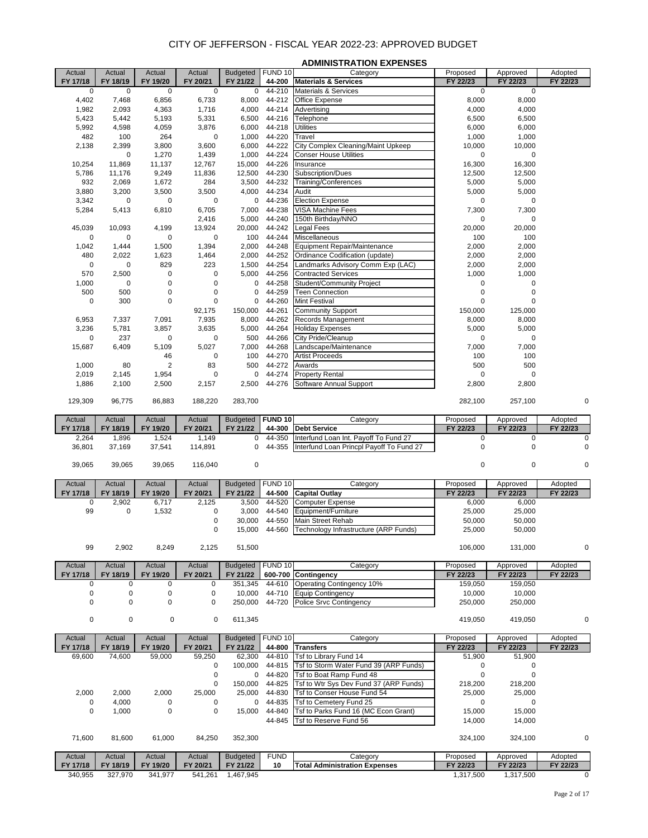|                          |                    |                          |                    |                              |                   | <b>ADMINISTRATION EXPENSES</b>                                         |                      |                      |                     |
|--------------------------|--------------------|--------------------------|--------------------|------------------------------|-------------------|------------------------------------------------------------------------|----------------------|----------------------|---------------------|
| Actual<br>FY 17/18       | Actual<br>FY 18/19 | Actual<br>FY 19/20       | Actual<br>FY 20/21 | Budgeted FUND 10<br>FY 21/22 | 44-200            | Category<br><b>Materials &amp; Services</b>                            | Proposed<br>FY 22/23 | Approved<br>FY 22/23 | Adopted<br>FY 22/23 |
| 0                        | $\mathbf 0$        | 0                        | 0                  | 0                            | 44-210            | Materials & Services                                                   | 0                    | $\mathbf 0$          |                     |
| 4,402                    | 7,468              | 6,856                    | 6,733              | 8,000                        | 44-212            | Office Expense                                                         | 8,000                | 8,000                |                     |
| 1,982                    | 2,093              | 4,363                    | 1,716              | 4,000                        | 44-214            | Advertising                                                            | 4,000                | 4,000                |                     |
| 5,423<br>5,992           | 5,442<br>4,598     | 5,193<br>4,059           | 5,331<br>3,876     | 6,500<br>6,000               | 44-216<br>44-218  | Telephone<br><b>Utilities</b>                                          | 6,500<br>6,000       | 6,500<br>6,000       |                     |
| 482                      | 100                | 264                      | $\mathbf 0$        | 1,000                        | 44-220            | Travel                                                                 | 1,000                | 1,000                |                     |
| 2,138                    | 2,399              | 3,800                    | 3,600              | 6,000                        | 44-222            | City Complex Cleaning/Maint Upkeep                                     | 10,000               | 10,000               |                     |
|                          | $\mathbf 0$        | 1,270                    | 1,439              | 1,000                        | 44-224            | <b>Conser House Utilities</b>                                          | $\mathbf 0$          | 0                    |                     |
| 10,254                   | 11,869             | 11,137                   | 12,767             | 15,000                       | 44-226            | Insurance                                                              | 16,300               | 16,300               |                     |
| 5,786                    | 11,176             | 9,249                    | 11,836             | 12,500                       | 44-230            | Subscription/Dues                                                      | 12,500               | 12,500               |                     |
| 932<br>3,880             | 2,069<br>3,200     | 1,672<br>3,500           | 284<br>3,500       | 3,500<br>4,000               | 44-232<br>44-234  | Training/Conferences<br>Audit                                          | 5,000<br>5,000       | 5,000<br>5,000       |                     |
| 3,342                    | 0                  | 0                        | 0                  | 0                            | 44-236            | <b>Election Expense</b>                                                | 0                    | 0                    |                     |
| 5,284                    | 5,413              | 6,810                    | 6,705              | 7,000                        | 44-238            | VISA Machine Fees                                                      | 7,300                | 7,300                |                     |
|                          |                    |                          | 2,416              | 5,000                        | 44-240            | 150th Birthday/NNO                                                     | $\mathbf 0$          | 0                    |                     |
| 45,039                   | 10,093             | 4,199                    | 13,924             | 20,000                       | 44-242            | Legal Fees                                                             | 20,000               | 20,000               |                     |
| 0                        | $\mathbf 0$        | 0                        | 0                  | 100                          | 44-244            | Miscellaneous                                                          | 100                  | 100                  |                     |
| 1,042<br>480             | 1,444<br>2,022     | 1,500<br>1,623           | 1,394<br>1,464     | 2,000<br>2,000               | 44-248<br>44-252  | <b>Equipment Repair/Maintenance</b><br>Ordinance Codification (update) | 2,000<br>2,000       | 2,000<br>2,000       |                     |
| 0                        | 0                  | 829                      | 223                | 1,500                        | 44-254            | Landmarks Advisory Comm Exp (LAC)                                      | 2,000                | 2,000                |                     |
| 570                      | 2,500              | 0                        | 0                  | 5,000                        | 44-256            | <b>Contracted Services</b>                                             | 1,000                | 1,000                |                     |
| 1,000                    | $\mathbf 0$        | 0                        | 0                  | 0                            | 44-258            | Student/Community Project                                              | $\pmb{0}$            | 0                    |                     |
| 500                      | 500                | 0                        | 0                  | $\mathbf 0$                  | 44-259            | <b>Teen Connection</b>                                                 | $\mathbf 0$          | 0                    |                     |
| 0                        | 300                | 0                        | 0                  | 0                            | 44-260            | Mint Festival                                                          | $\mathbf 0$          | $\mathbf 0$          |                     |
|                          |                    |                          | 92,175             | 150,000                      | 44-261            | Community Support                                                      | 150,000              | 125,000              |                     |
| 6,953                    | 7,337              | 7,091                    | 7,935              | 8,000                        | 44-262            | Records Management                                                     | 8,000                | 8,000                |                     |
| 3,236                    | 5,781              | 3,857                    | 3,635              | 5,000                        | 44-264            | <b>Holiday Expenses</b>                                                | 5,000                | 5,000                |                     |
| 0<br>15,687              | 237<br>6,409       | 0<br>5,109               | 0<br>5,027         | 500<br>7,000                 | 44-266<br>44-268  | City Pride/Cleanup<br>Landscape/Maintenance                            | $\mathbf 0$<br>7,000 | 0<br>7,000           |                     |
|                          |                    | 46                       | $\mathbf 0$        | 100                          | 44-270            | <b>Artist Proceeds</b>                                                 | 100                  | 100                  |                     |
| 1,000                    | 80                 | $\overline{2}$           | 83                 | 500                          | 44-272            | Awards                                                                 | 500                  | 500                  |                     |
| 2,019                    | 2,145              | 1,954                    | 0                  | 0                            | 44-274            | <b>Property Rental</b>                                                 | $\mathbf 0$          | 0                    |                     |
| 1,886                    | 2,100              | 2,500                    | 2,157              | 2,500                        | 44-276            | Software Annual Support                                                | 2,800                | 2,800                |                     |
| 129,309                  | 96,775             | 86,883                   | 188,220            | 283,700                      |                   |                                                                        | 282,100              | 257,100              | 0                   |
|                          |                    |                          |                    |                              |                   |                                                                        |                      |                      |                     |
| Actual                   | Actual             | Actual                   | Actual             | <b>Budgeted</b>              | <b>FUND 10</b>    | Category                                                               | Proposed             | Approved             | Adopted             |
|                          |                    |                          |                    |                              |                   |                                                                        |                      |                      |                     |
| FY 17/18                 | FY 18/19           | FY 19/20                 | FY 20/21           | FY 21/22                     | 44-300            | <b>Debt Service</b>                                                    | FY 22/23             | FY 22/23             | FY 22/23            |
| 2,264                    | 1,896              | 1,524                    | 1,149              | 0<br>0                       | 44-350            | Interfund Loan Int. Payoff To Fund 27                                  | 0                    | 0                    | 0                   |
| 36,801                   | 37,169             | 37,541                   | 114,891            |                              | 44-355            | Interfund Loan Princpl Payoff To Fund 27                               | $\mathsf 0$          | $\pmb{0}$            |                     |
| 39,065                   | 39,065             | 39,065                   | 116,040            | $\pmb{0}$                    |                   |                                                                        | $\mathbf 0$          | 0                    | $\Omega$            |
|                          |                    |                          |                    |                              |                   |                                                                        |                      |                      |                     |
| Actual                   | Actual             | Actual                   | Actual             | <b>Budgeted</b>              | FUND 10           | Category                                                               | Proposed             | Approved<br>FY 22/23 | Adopted             |
| FY 17/18<br>$\pmb{0}$    | FY 18/19<br>2,902  | FY 19/20<br>6,717        | FY 20/21<br>2,125  | FY 21/22<br>3,500            | 44-500<br>44-520  | <b>Capital Outlay</b><br><b>Computer Expense</b>                       | FY 22/23<br>6,000    | 6,000                | FY 22/23            |
| 99                       | $\pmb{0}$          | 1,532                    | 0                  | 3,000                        | 44-540            | Equipment/Furniture                                                    | 25,000               | 25,000               |                     |
|                          |                    |                          | 0                  |                              | 30,000 44-550     | Main Street Rehab                                                      | 50,000               | 50,000               |                     |
|                          |                    |                          |                    |                              |                   | 15,000 44-560 Technology Infrastructure (ARP Funds)                    | 25,000               | 50,000               |                     |
| 99                       | 2,902              | 8,249                    | 2,125              | 51,500                       |                   |                                                                        | 106,000              | 131,000              | 0                   |
|                          |                    |                          |                    |                              |                   |                                                                        |                      |                      |                     |
| Actual                   | Actual             | Actual                   | Actual             | <b>Budgeted</b>              | FUND 10           | Category                                                               | Proposed             | Approved             | Adopted             |
| FY 17/18                 | FY 18/19           | FY 19/20                 | FY 20/21           | FY 21/22                     |                   | 600-700 Contingency                                                    | FY 22/23             | FY 22/23             | FY 22/23            |
| 0                        | 0                  | 0                        | 0                  |                              | 351,345 44-610    | Operating Contingency 10%                                              | 159,050              | 159,050              |                     |
| $\pmb{0}$<br>$\mathbf 0$ | 0<br>$\mathbf 0$   | $\pmb{0}$<br>$\mathbf 0$ | 0<br>$\pmb{0}$     | 10,000<br>250,000            | 44-710<br>44-720  | <b>Equip Contingency</b><br><b>Police Srvc Contingency</b>             | 10,000<br>250,000    | 10,000<br>250,000    |                     |
|                          |                    |                          |                    |                              |                   |                                                                        |                      |                      |                     |
| 0                        | 0                  | $\pmb{0}$                | $\mathbf 0$        | 611,345                      |                   |                                                                        | 419,050              | 419,050              |                     |
| Actual                   | Actual             | Actual                   | Actual             | <b>Budgeted</b>              | FUND 10           | Category                                                               | Proposed             | Approved             | Adopted             |
| FY 17/18                 | FY 18/19           | FY 19/20                 | FY 20/21           | FY 21/22                     | 44-800            | <b>Transfers</b>                                                       | FY 22/23             | FY 22/23             | FY 22/23            |
| 69,600                   | 74,600             | 59,000                   | 59,250             | 62,300                       | 44-810            | Tsf to Library Fund 14                                                 | 51,900               | 51,900               |                     |
|                          |                    |                          | 0                  |                              | 100,000 44-815    | Tsf to Storm Water Fund 39 (ARP Funds)                                 | 0                    | 0                    |                     |
|                          |                    |                          | 0                  | $\mathbf 0$                  | 44-820            | Tsf to Boat Ramp Fund 48                                               | $\mathbf 0$          | 0                    |                     |
|                          |                    |                          | 0                  | 150,000                      | 44-825            | Tsf to Wtr Sys Dev Fund 37 (ARP Funds)                                 | 218,200              | 218,200              |                     |
| 2,000                    | 2,000              | 2,000                    | 25,000             | 25,000                       | 44-830            | Tsf to Conser House Fund 54                                            | 25,000               | 25,000               |                     |
| 0                        | 4,000              | 0                        | 0                  | 0                            | 44-835            | Tsf to Cemetery Fund 25                                                | 0                    | 0                    |                     |
| 0                        | 1,000              | 0                        | 0                  | 15,000                       | 44-840<br>44-845  | Tsf to Parks Fund 16 (MC Econ Grant)<br>Tsf to Reserve Fund 56         | 15,000<br>14,000     | 15,000<br>14,000     |                     |
|                          |                    |                          |                    |                              |                   |                                                                        |                      |                      |                     |
| 71,600                   | 81,600             | 61,000                   | 84,250             | 352,300                      |                   |                                                                        | 324,100              | 324,100              | 0                   |
|                          |                    |                          |                    |                              |                   |                                                                        |                      |                      |                     |
| Actual<br>FY 17/18       | Actual<br>FY 18/19 | Actual<br>FY 19/20       | Actual<br>FY 20/21 | <b>Budgeted</b><br>FY 21/22  | <b>FUND</b><br>10 | Category<br><b>Total Administration Expenses</b>                       | Proposed<br>FY 22/23 | Approved<br>FY 22/23 | Adopted<br>FY 22/23 |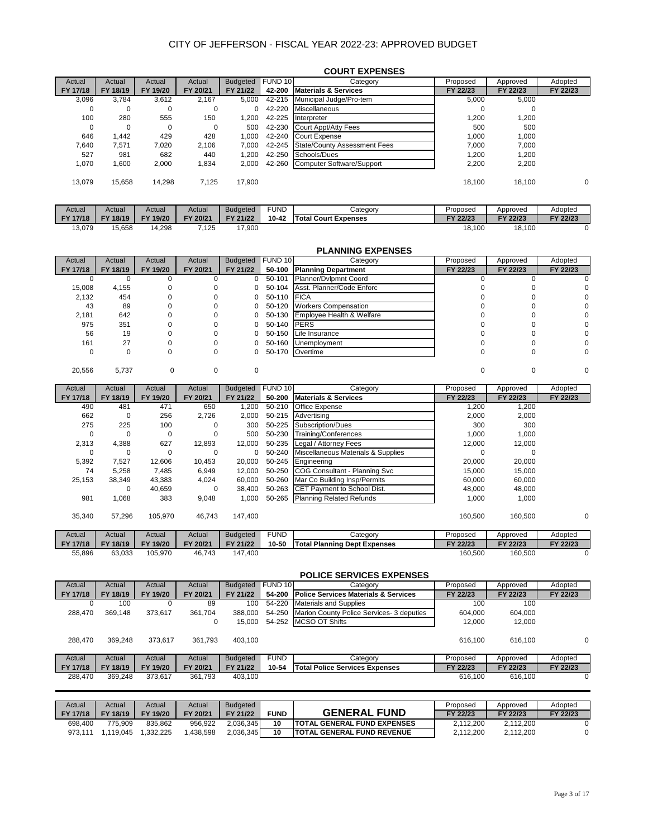|          |          |             |          |                 |         | <b>COURT EXPENSES</b>               |          |          |          |
|----------|----------|-------------|----------|-----------------|---------|-------------------------------------|----------|----------|----------|
| Actual   | Actual   | Actual      | Actual   | <b>Budgeted</b> | FUND 10 | Category                            | Proposed | Approved | Adopted  |
| FY 17/18 | FY 18/19 | FY 19/20    | FY 20/21 | FY 21/22        | 42-200  | <b>Materials &amp; Services</b>     | FY 22/23 | FY 22/23 | FY 22/23 |
| 3,096    | 3.784    | 3.612       | 2.167    | 5.000           | 42-215  | Municipal Judge/Pro-tem             | 5,000    | 5.000    |          |
| 0        | 0        | 0           | 0        | 0               | 42-220  | <b>Miscellaneous</b>                | C        | 0        |          |
| 100      | 280      | 555         | 150      | 1.200           | 42-225  | Interpreter                         | 1,200    | 1,200    |          |
| 0        | $\Omega$ | $\mathbf 0$ | 0        | 500             | 42-230  | Court Appt/Atty Fees                | 500      | 500      |          |
| 646      | 1.442    | 429         | 428      | 1.000           | 42-240  | <b>Court Expense</b>                | 1.000    | 1.000    |          |
| 7.640    | 7.571    | 7,020       | 2,106    | 7.000           | 42-245  | <b>State/County Assessment Fees</b> | 7,000    | 7.000    |          |
| 527      | 981      | 682         | 440      | 1,200           | 42-250  | Schools/Dues                        | 1.200    | 1.200    |          |
| 1.070    | 1,600    | 2,000       | 1,834    | 2.000           | 42-260  | Computer Software/Support           | 2,200    | 2,200    |          |
| 13.079   | 15,658   | 14,298      | 7.125    | 17,900          |         |                                     | 18,100   | 18,100   | 0        |

| Actual   | Actual   | Actual             | Actual   | Budaeted | FUND      | Category                    | Proposed | Approved | Adopted  |
|----------|----------|--------------------|----------|----------|-----------|-----------------------------|----------|----------|----------|
| FY 17/18 | FY 18/19 | 19/20<br><b>FV</b> | FY 20/21 | FY 21/22 | $10 - 42$ | <b>Total Court Expenses</b> | FY 22/23 | FY 22/23 | FY 22/23 |
| 13,079   | 15,658   | 1,298              | 125°،    | 7,900    |           |                             | 18,100   | 18,100   |          |

|             |             |             |             |                 |             | <b>PLANNING EXPENSES</b>            |             |             |             |
|-------------|-------------|-------------|-------------|-----------------|-------------|-------------------------------------|-------------|-------------|-------------|
| Actual      | Actual      | Actual      | Actual      | <b>Budgeted</b> | FUND 10     | Category                            | Proposed    | Approved    | Adopted     |
| FY 17/18    | FY 18/19    | FY 19/20    | FY 20/21    | FY 21/22        | 50-100      | <b>Planning Department</b>          | FY 22/23    | FY 22/23    | FY 22/23    |
| $\Omega$    | $\Omega$    | 0           | 0           | $\Omega$        | 50-101      | Planner/Dvlpmnt Coord               | 0           | 0           | 0           |
| 15,008      | 4,155       | 0           | $\mathbf 0$ | 0               | 50-104      | Asst. Planner/Code Enforc           | $\mathbf 0$ | 0           | $\mathbf 0$ |
| 2,132       | 454         | 0           | 0           | 0               | 50-110      | <b>FICA</b>                         | 0           | $\Omega$    | 0           |
| 43          | 89          | 0           | 0           | 0               | 50-120      | <b>Workers Compensation</b>         | 0           | $\Omega$    | 0           |
| 2,181       | 642         | 0           | 0           | 0               | 50-130      | Employee Health & Welfare           | 0           | $\Omega$    | 0           |
| 975         | 351         | 0           | 0           | 0               | 50-140      | <b>PERS</b>                         | 0           | $\Omega$    | $\mathbf 0$ |
| 56          | 19          | 0           | 0           | 0               | 50-150      | Life Insurance                      | 0           | $\Omega$    | $\mathbf 0$ |
| 161         | 27          | 0           | 0           | 0               | 50-160      | Unemployment                        | 0           | 0           | 0           |
| $\mathbf 0$ | $\mathbf 0$ | 0           | $\mathbf 0$ | 0               | 50-170      | Overtime                            | 0           | $\Omega$    | $\mathbf 0$ |
|             |             |             |             |                 |             |                                     |             |             |             |
| 20,556      | 5,737       | $\mathbf 0$ | $\mathbf 0$ | $\mathbf 0$     |             |                                     | 0           | $\mathbf 0$ | 0           |
|             |             |             |             |                 |             |                                     |             |             |             |
| Actual      | Actual      | Actual      | Actual      | <b>Budgeted</b> | FUND 10     | Category                            | Proposed    | Approved    | Adopted     |
| FY 17/18    | FY 18/19    | FY 19/20    | FY 20/21    | FY 21/22        | 50-200      | <b>Materials &amp; Services</b>     | FY 22/23    | FY 22/23    | FY 22/23    |
| 490         | 481         | 471         | 650         | 1,200           | 50-210      | Office Expense                      | 1,200       | 1,200       |             |
| 662         | $\mathbf 0$ | 256         | 2,726       | 2,000           | 50-215      | Advertising                         | 2,000       | 2,000       |             |
| 275         | 225         | 100         | 0           | 300             | 50-225      | Subscription/Dues                   | 300         | 300         |             |
| 0           | $\Omega$    | 0           | 0           | 500             | 50-230      | Training/Conferences                | 1,000       | 1,000       |             |
| 2,313       | 4,388       | 627         | 12,893      | 12,000          | 50-235      | Legal / Attorney Fees               | 12,000      | 12,000      |             |
| $\mathbf 0$ | $\mathbf 0$ | $\mathbf 0$ | 0           | $\mathbf 0$     | 50-240      | Miscellaneous Materials & Supplies  | $\mathbf 0$ | $\Omega$    |             |
| 5,392       | 7,527       | 12,606      | 10,453      | 20,000          | 50-245      | Engineering                         | 20,000      | 20,000      |             |
| 74          | 5,258       | 7,485       | 6,949       | 12,000          | 50-250      | COG Consultant - Planning Svc       | 15,000      | 15,000      |             |
| 25,153      | 38,349      | 43,383      | 4,024       | 60,000          | 50-260      | Mar Co Building Insp/Permits        | 60,000      | 60,000      |             |
|             | $\Omega$    | 40,659      | $\mathbf 0$ | 38,400          | 50-263      | CET Payment to School Dist.         | 48,000      | 48,000      |             |
| 981         | 1,068       | 383         | 9,048       | 1,000           | 50-265      | <b>Planning Related Refunds</b>     | 1,000       | 1,000       |             |
|             |             |             |             |                 |             |                                     |             |             |             |
| 35,340      | 57,296      | 105,970     | 46,743      | 147,400         |             |                                     | 160,500     | 160,500     | $\mathbf 0$ |
|             |             |             |             |                 |             |                                     |             |             |             |
| Actual      | Actual      | Actual      | Actual      | <b>Budgeted</b> | <b>FUND</b> | Category                            | Proposed    | Approved    | Adopted     |
| FY 17/18    | FY 18/19    | FY 19/20    | FY 20/21    | FY 21/22        | 10-50       | <b>Total Planning Dept Expenses</b> | FY 22/23    | FY 22/23    | FY 22/23    |
| 55,896      | 63,033      | 105,970     | 46,743      | 147,400         |             |                                     | 160,500     | 160,500     | $\Omega$    |
|             |             |             |             |                 |             |                                     |             |             |             |
|             |             |             |             |                 |             | <b>POLICE SERVICES EXPENSES</b>     |             |             |             |

|          |          |          |          |                 |             | <b>ULIVE JERVIVEJ EAL ENJEJ</b>                 |          |          |          |
|----------|----------|----------|----------|-----------------|-------------|-------------------------------------------------|----------|----------|----------|
| Actual   | Actual   | Actual   | Actual   | <b>Budgeted</b> | FUND 10     | Category                                        | Proposed | Approved | Adopted  |
| FY 17/18 | FY 18/19 | FY 19/20 | FY 20/21 | FY 21/22        | 54-200      | <b>Police Services Materials &amp; Services</b> | FY 22/23 | FY 22/23 | FY 22/23 |
| 0        | 100      |          | 89       | 100             | 54-220      | <b>Materials and Supplies</b>                   | 100      | 100      |          |
| 288.470  | 369.148  | 373.617  | 361,704  | 388,000         | 54-250      | Marion County Police Services- 3 deputies       | 604.000  | 604.000  |          |
|          |          |          | 0        | 15.000          |             | 54-252 MCSO OT Shifts                           | 12.000   | 12.000   |          |
| 288.470  | 369.248  | 373.617  | 361.793  | 403.100         |             |                                                 | 616.100  | 616.100  | $\Omega$ |
| Actual   | Actual   | Actual   | Actual   | <b>Budgeted</b> | <b>FUND</b> | Category                                        | Proposed | Approved | Adopted  |
| FY 17/18 | FY 18/19 | FY 19/20 | FY 20/21 | FY 21/22        | 10-54       | <b>Total Police Services Expenses</b>           | FY 22/23 | FY 22/23 | FY 22/23 |
| 288.470  | 369.248  | 373.617  | 361.793  | 403.100         |             |                                                 | 616.100  | 616.100  | 0        |

| Actual   | Actual   | Actual             | Actual   | <b>Budgeted</b> |             |                                    | Proposed  | Approved  | Adopted  |
|----------|----------|--------------------|----------|-----------------|-------------|------------------------------------|-----------|-----------|----------|
| FY 17/18 | FY 18/19 | 19/20<br><b>FY</b> | FY 20/21 | FY 21/22        | <b>FUND</b> | <b>GENERAL FUND</b>                | FY 22/23  | FY 22/23  | FY 22/23 |
| 698.400  | 775.909  | 835.862            | 956.922  | 2.036.345       | 10          | <b>TOTAL GENERAL FUND EXPENSES</b> | 2.112.200 | 2.112.200 |          |
| 973.11'  | 119.045  | .332.225           | .438.598 | 2.036.345       | 10          | <b>ITOTAL GENERAL FUND REVENUE</b> | 2.112.200 | 2.112.200 |          |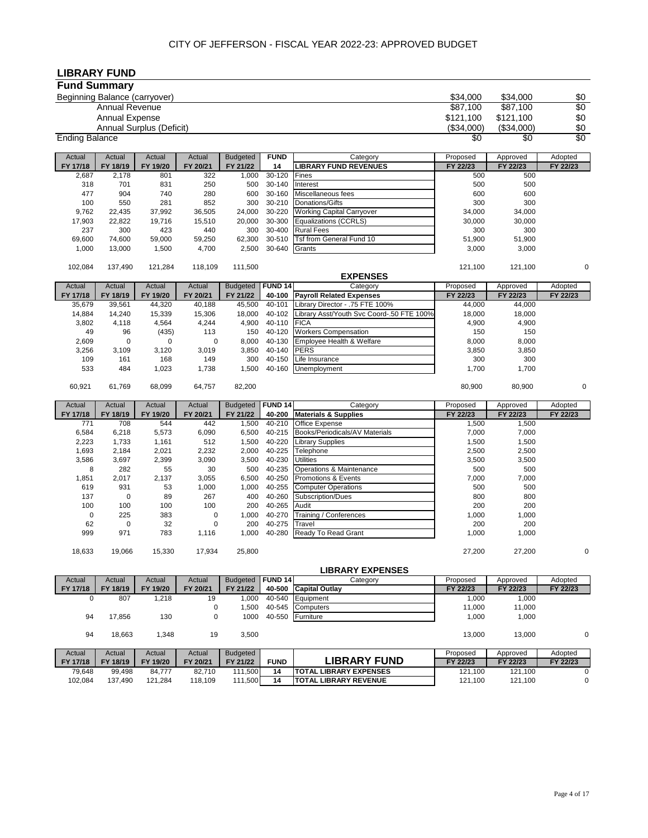## **LIBRARY FUND**

| <b>Fund Summary</b>   |                               |                          |                    |                     |                    |                                                          |                      |                     |                 |
|-----------------------|-------------------------------|--------------------------|--------------------|---------------------|--------------------|----------------------------------------------------------|----------------------|---------------------|-----------------|
|                       | Beginning Balance (carryover) |                          |                    |                     |                    |                                                          | \$34.000             | \$34,000            | \$0             |
|                       | <b>Annual Revenue</b>         |                          |                    |                     |                    |                                                          | \$87,100             | \$87,100            | $\overline{50}$ |
|                       | <b>Annual Expense</b>         |                          |                    |                     |                    |                                                          | \$121,100            | \$121,100           | \$0             |
|                       |                               | Annual Surplus (Deficit) |                    |                     |                    |                                                          | (\$34,000)           | (\$34,000)          | \$0             |
| <b>Ending Balance</b> |                               |                          |                    |                     |                    |                                                          | \$0                  | $\overline{50}$     | \$0             |
| Actual                | Actual                        | Actual                   | Actual             | <b>Budgeted</b>     | <b>FUND</b>        | Category                                                 | Proposed             | Approved            | Adopted         |
| FY 17/18              | FY 18/19                      | FY 19/20                 | FY 20/21           | FY 21/22            | 14                 | <b>LIBRARY FUND REVENUES</b>                             | FY 22/23             | FY 22/23            | FY 22/23        |
| 2,687                 | 2,178                         | 801                      | 322                | 1,000               | $30 - 120$         | Fines                                                    | 500                  | 500                 |                 |
| 318<br>477            | 701<br>904                    | 831<br>740               | 250<br>280         | 500<br>600          | 30-140<br>30-160   | Interest<br>Miscellaneous fees                           | 500<br>600           | 500<br>600          |                 |
| 100                   | 550                           | 281                      | 852                | 300                 | 30-210             | Donations/Gifts                                          | 300                  | 300                 |                 |
| 9,762                 | 22,435                        | 37,992                   | 36,505             | 24,000              | 30-220             | <b>Working Capital Carryover</b>                         | 34,000               | 34,000              |                 |
| 17,903                | 22,822                        | 19,716                   | 15,510             | 20,000              | 30-300             | Equalizations (CCRLS)                                    | 30,000               | 30,000              |                 |
| 237                   | 300                           | 423                      | 440                | 300                 | 30-400             | <b>Rural Fees</b>                                        | 300                  | 300                 |                 |
| 69,600                | 74,600                        | 59,000                   | 59,250             | 62,300              | 30-510             | Tsf from General Fund 10                                 | 51,900               | 51,900              |                 |
| 1,000                 | 13,000                        | 1,500                    | 4,700              | 2,500               | 30-640             | Grants                                                   | 3,000                | 3,000               |                 |
| 102,084               | 137,490                       | 121,284                  | 118,109            | 111,500             |                    |                                                          | 121,100              | 121,100             | $\mathbf 0$     |
|                       |                               |                          |                    |                     |                    | <b>EXPENSES</b>                                          |                      |                     |                 |
| Actual                | Actual                        | Actual                   | Actual             | <b>Budgeted</b>     | <b>FUND 14</b>     | Category                                                 | Proposed             | Approved            | Adopted         |
| FY 17/18              | FY 18/19                      | FY 19/20                 | FY 20/21           | FY 21/22            | 40-100             | <b>Payroll Related Expenses</b>                          | FY 22/23             | FY 22/23            | FY 22/23        |
| 35,679                | 39,561                        | 44,320                   | 40,188             | 45,500              | 40-101             | .ibrary Director - .75 FTE 100%                          | 44,000               | 44,000              |                 |
| 14,884                | 14,240                        | 15,339                   | 15,306             | 18,000              | 40-102             | Library Asst/Youth Svc Coord-.50 FTE 100%                | 18,000               | 18,000              |                 |
| 3,802                 | 4,118                         | 4,564                    | 4,244              | 4,900               | 40-110             | <b>FICA</b>                                              | 4,900                | 4,900               |                 |
| 49<br>2,609           | 96<br>$\mathbf 0$             | (435)<br>0               | 113<br>0           | 150<br>8,000        | 40-120<br>40-130   | <b>Workers Compensation</b><br>Employee Health & Welfare | 150<br>8,000         | 150<br>8,000        |                 |
| 3,256                 | 3,109                         | 3,120                    | 3,019              | 3,850               | 40-140             | <b>PERS</b>                                              | 3,850                | 3,850               |                 |
| 109                   | 161                           | 168                      | 149                | 300                 | 40-150             | Life Insurance                                           | 300                  | 300                 |                 |
| 533                   | 484                           | 1,023                    | 1,738              | 1,500               | 40-160             | Unemployment                                             | 1,700                | 1,700               |                 |
| 60,921                | 61,769                        | 68,099                   | 64,757             | 82,200              |                    |                                                          | 80,900               | 80,900              | 0               |
|                       |                               |                          |                    |                     |                    |                                                          |                      |                     |                 |
| Actual                | Actual                        | Actual                   | Actual             | <b>Budgeted</b>     | <b>FUND 14</b>     | Category                                                 | Proposed             | Approved            | Adopted         |
| FY 17/18<br>771       | FY 18/19<br>708               | FY 19/20<br>544          | FY 20/21<br>442    | FY 21/22<br>1,500   | 40-200<br>40-210   | <b>Materials &amp; Supplies</b><br>Office Expense        | FY 22/23<br>1,500    | FY 22/23<br>1,500   | FY 22/23        |
| 6,584                 | 6,218                         | 5,573                    | 6,090              | 6,500               | 40-215             | Books/Periodicals/AV Materials                           | 7,000                | 7,000               |                 |
| 2,223                 | 1,733                         | 1,161                    | 512                | 1,500               | 40-220             | Library Supplies                                         | 1,500                | 1,500               |                 |
| 1,693                 | 2,184                         | 2,021                    | 2,232              | 2,000               | 40-225             | Telephone                                                | 2,500                | 2,500               |                 |
| 3,586                 | 3,697                         | 2,399                    | 3,090              | 3,500               | 40-230             | Jtilities                                                | 3,500                | 3,500               |                 |
| 8                     | 282                           | 55                       | 30                 | 500                 | 40-235             | <b>Operations &amp; Maintenance</b>                      | 500                  | 500                 |                 |
| 1,851                 | 2,017                         | 2,137                    | 3,055              | 6,500               | 40-250             | Promotions & Events                                      | 7,000                | 7,000               |                 |
| 619                   | 931                           | 53                       | 1,000              | 1,000               | 40-255             | <b>Computer Operations</b>                               | 500                  | 500                 |                 |
| 137<br>100            | $\pmb{0}$<br>100              | 89<br>100                | 267<br>100         | 400<br>200          | 40-260<br>40-265   | Subscription/Dues<br>Audit                               | 800<br>200           | 800<br>200          |                 |
| 0                     | 225                           | 383                      | 0                  | 1,000               | 40-270             | Training / Conferences                                   | 1,000                | 1,000               |                 |
| 62                    | 0                             | 32                       | $\mathbf 0$        | 200                 | 40-275             | Travel                                                   | 200                  | 200                 |                 |
| 999                   | 971                           | 783                      | 1,116              | 1,000               | 40-280             | Ready To Read Grant                                      | 1,000                | 1,000               |                 |
| 18,633                | 19,066                        | 15,330                   | 17,934             | 25,800              |                    |                                                          | 27,200               | 27,200              | 0               |
|                       |                               |                          |                    |                     |                    |                                                          |                      |                     |                 |
|                       |                               |                          |                    |                     |                    | <b>LIBRARY EXPENSES</b>                                  |                      |                     |                 |
| Actual                | Actual                        | Actual                   | Actual             | <b>Budgeted</b>     | FUND <sub>14</sub> | Category                                                 | Proposed<br>FY 22/23 | Approved            | Adopted         |
| FY 17/18<br>0         | FY 18/19<br>807               | FY 19/20<br>1,218        | FY 20/21<br>19     | FY 21/22<br>1,000   | 40-500<br>40-540   | <b>Capital Outlay</b><br>Equipment                       | 1,000                | FY 22/23<br>1,000   | FY 22/23        |
|                       |                               |                          | $\pmb{0}$          | 1,500               | 40-545             | Computers                                                | 11,000               | 11,000              |                 |
| 94                    | 17,856                        | 130                      | $\mathbf 0$        | 1000                | 40-550             | Furniture                                                | 1,000                | 1,000               |                 |
|                       |                               |                          |                    |                     |                    |                                                          |                      |                     |                 |
| 94                    | 18,663                        | 1,348                    | 19                 | 3,500               |                    |                                                          | 13,000               | 13,000              | $\mathbf 0$     |
| Actual                | Actual                        | Actual                   | Actual             | <b>Budgeted</b>     |                    | <b>LIBRARY FUND</b>                                      | Proposed             | Approved            | Adopted         |
| FY 17/18<br>79,648    | FY 18/19<br>99,498            | FY 19/20<br>84,777       | FY 20/21<br>82,710 | FY 21/22<br>111,500 | <b>FUND</b><br>14  | <b>TOTAL LIBRARY EXPENSES</b>                            | FY 22/23<br>121,100  | FY 22/23<br>121,100 | FY 22/23<br>0   |
| 102,084               | 137,490                       | 121,284                  | 118,109            | 111,500             | 14                 | <b>TOTAL LIBRARY REVENUE</b>                             | 121,100              | 121,100             | 0               |
|                       |                               |                          |                    |                     |                    |                                                          |                      |                     |                 |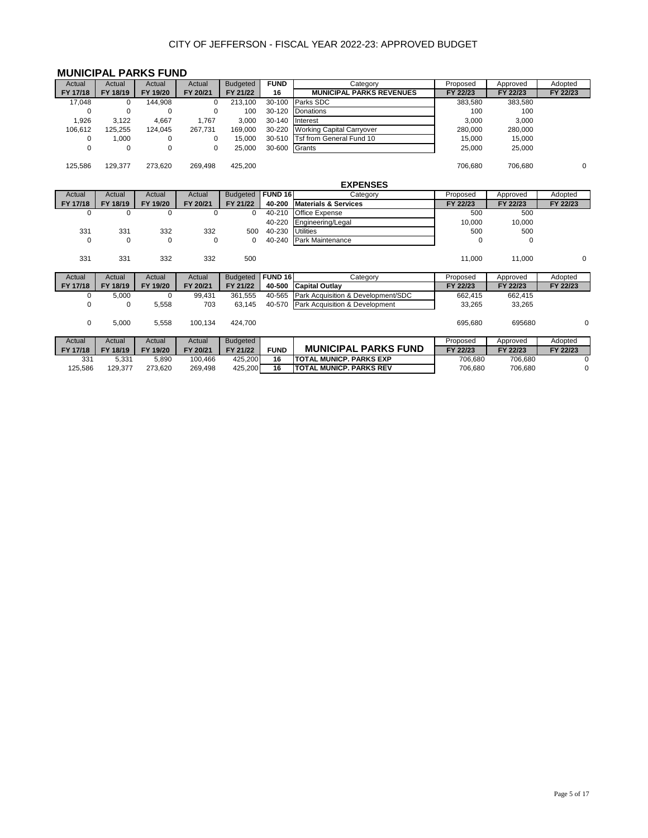## **MUNICIPAL PARKS FUND**

| Actual   | Actual   | Actual   | Actual   | <b>Budgeted</b> | <b>FUND</b> | Category                         | Proposed | Approved | Adopted  |
|----------|----------|----------|----------|-----------------|-------------|----------------------------------|----------|----------|----------|
| FY 17/18 | FY 18/19 | FY 19/20 | FY 20/21 | FY 21/22        | 16          | <b>MUNICIPAL PARKS REVENUES</b>  | FY 22/23 | FY 22/23 | FY 22/23 |
| 17.048   | 0        | 144.908  | 0        | 213,100         | 30-100      | Parks SDC                        | 383,580  | 383,580  |          |
| 0        | 0        | $\Omega$ | 0        | 100             | 30-120      | Donations                        | 100      | 100      |          |
| ,926     | 3,122    | 4,667    | 1.767    | 3,000           | 30-140      | <b>Interest</b>                  | 3,000    | 3,000    |          |
| 106.612  | 125.255  | 124.045  | 267.731  | 169.000         | 30-220      | <b>Working Capital Carryover</b> | 280.000  | 280,000  |          |
| 0        | 1.000    | 0        | 0        | 15.000          |             | 30-510 Tsf from General Fund 10  | 15.000   | 15,000   |          |
| 0        | 0        | 0        | 0        | 25,000          | 30-600      | Grants                           | 25,000   | 25,000   |          |
| 125,586  | 129,377  | 273.620  | 269,498  | 425,200         |             |                                  | 706.680  | 706,680  | 0        |
|          |          |          |          |                 |             | <b>EXPENSES</b>                  |          |          |          |

| Actual      | Actual   | Actual   | Actual      | <b>Budgeted</b> | <b>FUND 16</b> | Category                           | Proposed | Approved | Adopted     |
|-------------|----------|----------|-------------|-----------------|----------------|------------------------------------|----------|----------|-------------|
| FY 17/18    | FY 18/19 | FY 19/20 | FY 20/21    | FY 21/22        | 40-200         | <b>Materials &amp; Services</b>    | FY 22/23 | FY 22/23 | FY 22/23    |
| $\mathbf 0$ | 0        | 0        |             | $\mathbf 0$     | 40-210         | Office Expense                     | 500      | 500      |             |
|             |          |          |             |                 | 40-220         | Engineering/Legal                  | 10,000   | 10,000   |             |
| 331         | 331      | 332      | 332         | 500             | 40-230         | <b>Utilities</b>                   | 500      | 500      |             |
| $\mathbf 0$ | 0        | 0        | $\mathbf 0$ | 0               | 40-240         | Park Maintenance                   | $\Omega$ | 0        |             |
|             |          |          |             |                 |                |                                    |          |          |             |
| 331         | 331      | 332      | 332         | 500             |                |                                    | 11,000   | 11,000   | $\mathbf 0$ |
|             |          |          |             |                 |                |                                    |          |          |             |
| Actual      | Actual   | Actual   | Actual      | <b>Budgeted</b> | <b>FUND 16</b> | Category                           | Proposed | Approved | Adopted     |
| FY 17/18    | FY 18/19 | FY 19/20 | FY 20/21    | FY 21/22        | 40-500         | <b>Capital Outlay</b>              | FY 22/23 | FY 22/23 | FY 22/23    |
|             |          |          |             |                 |                |                                    |          |          |             |
| 0           | 5,000    | 0        | 99,431      | 361.555         | 40-565         | Park Acquisition & Development/SDC | 662,415  | 662,415  |             |
| 0           | 0        | 5,558    | 703         | 63.145          | 40-570         | Park Acquisition & Development     | 33,265   | 33,265   |             |
|             |          |          |             |                 |                |                                    |          |          |             |
| $\mathbf 0$ | 5,000    | 5,558    | 100,134     | 424,700         |                |                                    | 695,680  | 695680   | 0           |
|             |          |          |             |                 |                |                                    |          |          |             |
| Actual      | Actual   | Actual   | Actual      | <b>Budgeted</b> |                |                                    | Proposed | Approved | Adopted     |
| FY 17/18    | FY 18/19 | FY 19/20 | FY 20/21    | FY 21/22        | <b>FUND</b>    | <b>MUNICIPAL PARKS FUND</b>        | FY 22/23 | FY 22/23 | FY 22/23    |

125,586 129,377 273,620 269,498 425,200 **16 TOTAL MUNICP. PARKS REV** 706,680 706,680 0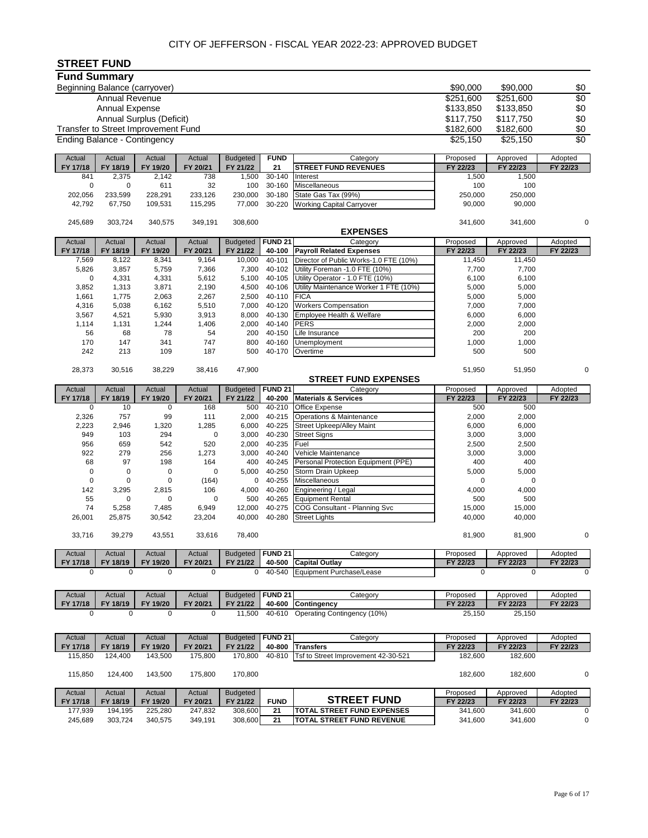# **STREET FUND**

| <b>Fund Summary</b>                 |                       |                                     |                     |                     |                   |                                                                    |                     |                     |                 |
|-------------------------------------|-----------------------|-------------------------------------|---------------------|---------------------|-------------------|--------------------------------------------------------------------|---------------------|---------------------|-----------------|
| Beginning Balance (carryover)       |                       |                                     |                     |                     |                   |                                                                    | \$90,000            | \$90,000            | \$0             |
|                                     | <b>Annual Revenue</b> |                                     |                     |                     |                   |                                                                    | \$251,600           | \$251,600           | \$0             |
|                                     | <b>Annual Expense</b> |                                     |                     |                     |                   |                                                                    | \$133,850           | \$133,850           | \$0             |
|                                     |                       | Annual Surplus (Deficit)            |                     |                     |                   |                                                                    | \$117,750           | \$117,750           | \$0             |
|                                     |                       | Transfer to Street Improvement Fund |                     |                     |                   |                                                                    | \$182,600           | \$182,600           | \$0             |
| <b>Ending Balance - Contingency</b> |                       |                                     |                     |                     |                   |                                                                    | \$25,150            | \$25,150            | $\overline{50}$ |
| Actual                              | Actual                | Actual                              | Actual              | <b>Budgeted</b>     | <b>FUND</b>       | Category                                                           | Proposed            | Approved            | Adopted         |
| FY 17/18                            | FY 18/19              | FY 19/20                            | FY 20/21            | FY 21/22            | 21                | <b>STREET FUND REVENUES</b>                                        | FY 22/23            | FY 22/23            | FY 22/23        |
| 841                                 | 2,375                 | 2,142                               | 738                 | 1,500               | $30 - 140$        | Interest                                                           | 1,500               | 1,500               |                 |
| 0                                   | $\mathbf 0$           | 611                                 | 32                  | 100                 | 30-160            | <b>Miscellaneous</b>                                               | 100                 | 100                 |                 |
| 202,056<br>42,792                   | 233,599<br>67,750     | 228,291<br>109,531                  | 233,126<br>115,295  | 230,000<br>77,000   | 30-180<br>30-220  | State Gas Tax (99%)<br><b>Working Capital Carryover</b>            | 250,000<br>90,000   | 250,000<br>90,000   |                 |
|                                     |                       |                                     |                     |                     |                   |                                                                    |                     |                     |                 |
| 245,689                             | 303,724               | 340,575                             | 349,191             | 308,600             |                   |                                                                    | 341,600             | 341,600             | 0               |
|                                     |                       |                                     |                     |                     |                   | <b>EXPENSES</b>                                                    |                     |                     |                 |
| Actual                              | Actual                | Actual                              | Actual              | <b>Budgeted</b>     | <b>FUND 21</b>    | Category                                                           | Proposed            | Approved            | Adopted         |
| FY 17/18                            | FY 18/19              | FY 19/20                            | FY 20/21            | FY 21/22            | 40-100            | <b>Payroll Related Expenses</b>                                    | FY 22/23            | FY 22/23            | FY 22/23        |
| 7,569                               | 8,122                 | 8,341                               | 9,164               | 10,000              | 40-101            | Director of Public Works-1.0 FTE (10%)                             | 11,450              | 11,450              |                 |
| 5,826<br>0                          | 3,857                 | 5,759                               | 7,366<br>5,612      | 7,300<br>5,100      | 40-102<br>40-105  | Utility Foreman -1.0 FTE (10%)<br>Utility Operator - 1.0 FTE (10%) | 7,700<br>6,100      | 7,700<br>6,100      |                 |
| 3,852                               | 4,331<br>1,313        | 4,331<br>3,871                      | 2,190               | 4,500               | 40-106            | Utility Maintenance Worker 1 FTE (10%)                             | 5,000               | 5,000               |                 |
| 1,661                               | 1,775                 | 2,063                               | 2,267               | 2,500               | 40-110            | <b>FICA</b>                                                        | 5,000               | 5,000               |                 |
| 4,316                               | 5,038                 | 6,162                               | 5,510               | 7,000               | 40-120            | <b>Workers Compensation</b>                                        | 7,000               | 7,000               |                 |
| 3,567                               | 4,521                 | 5,930                               | 3,913               | 8,000               | 40-130            | Employee Health & Welfare                                          | 6,000               | 6,000               |                 |
| 1,114                               | 1,131                 | 1,244                               | 1,406               | 2,000               | 40-140            | <b>PERS</b>                                                        | 2,000               | 2,000               |                 |
| 56                                  | 68                    | 78                                  | 54                  | 200                 | 40-150            | Life Insurance                                                     | 200                 | 200                 |                 |
| 170                                 | 147                   | 341                                 | 747                 | 800                 | 40-160            | Unemployment                                                       | 1,000               | 1,000               |                 |
| 242                                 | 213                   | 109                                 | 187                 | 500                 | 40-170            | Overtime                                                           | 500                 | 500                 |                 |
| 28,373                              | 30,516                | 38,229                              | 38,416              | 47,900              |                   |                                                                    | 51,950              | 51,950              | 0               |
|                                     |                       |                                     |                     |                     |                   | <b>STREET FUND EXPENSES</b>                                        |                     |                     |                 |
| Actual                              | Actual                | Actual                              | Actual              | <b>Budgeted</b>     | <b>FUND 21</b>    | Category                                                           | Proposed            | Approved            | Adopted         |
| FY 17/18                            | FY 18/19              | FY 19/20                            | FY 20/21            | FY 21/22            | 40-200            | <b>Materials &amp; Services</b>                                    | FY 22/23            | FY 22/23            | FY 22/23        |
| $\mathbf 0$                         | 10                    | $\mathbf 0$                         | 168                 | 500                 | 40-210            | Office Expense                                                     | 500                 | 500                 |                 |
| 2,326<br>2,223                      | 757<br>2,946          | 99<br>1,320                         | 111<br>1,285        | 2,000<br>6,000      | 40-215<br>40-225  | Operations & Maintenance<br><b>Street Upkeep/Alley Maint</b>       | 2,000<br>6,000      | 2,000<br>6,000      |                 |
| 949                                 | 103                   | 294                                 | 0                   | 3,000               | 40-230            | <b>Street Signs</b>                                                | 3,000               | 3,000               |                 |
| 956                                 | 659                   | 542                                 | 520                 | 2,000               | 40-235            | Fuel                                                               | 2,500               | 2,500               |                 |
| 922                                 | 279                   | 256                                 | 1,273               | 3,000               | 40-240            | Vehicle Maintenance                                                | 3,000               | 3,000               |                 |
| 68                                  | 97                    | 198                                 | 164                 | 400                 | 40-245            | Personal Protection Equipment (PPE)                                | 400                 | 400                 |                 |
| 0                                   | $\mathbf 0$           | 0                                   | $\mathbf 0$         | 5,000               | 40-250            | Storm Drain Upkeep                                                 | 5,000               | 5,000               |                 |
| 0                                   | 0                     | 0                                   | (164)               | 0                   | 40-255            | Miscellaneous                                                      | $\mathbf 0$         | $\mathbf 0$         |                 |
| 142<br>55                           | 3,295<br>0            | 2,815<br>0                          | 106<br>0            | 4,000<br>500        | 40-260<br>40-265  | Engineering / Legal<br><b>Equipment Rental</b>                     | 4,000<br>500        | 4,000<br>500        |                 |
| 74                                  | 5,258                 | 7,485                               | 6,949               | 12,000              | 40-275            | COG Consultant - Planning Svc                                      | 15,000              | 15,000              |                 |
| 26,001                              | 25,875                | 30,542                              | 23,204              | 40,000              | 40-280            | <b>Street Lights</b>                                               | 40,000              | 40,000              |                 |
|                                     |                       |                                     |                     |                     |                   |                                                                    |                     |                     |                 |
| 33,716                              | 39,279                | 43,551                              | 33,616              | 78,400              |                   |                                                                    | 81,900              | 81,900              | 0               |
| Actual                              | Actual                | Actual                              | Actual              | <b>Budgeted</b>     | <b>FUND 21</b>    | Category                                                           | Proposed            | Approved            | Adopted         |
| FY 17/18                            | FY 18/19              | FY 19/20                            | FY 20/21            | FY 21/22            | 40-500            | <b>Capital Outlay</b>                                              | FY 22/23            | FY 22/23            | FY 22/23        |
| 0                                   | $\mathbf 0$           | $\mathbf 0$                         | 0                   | 0                   | 40-540            | Equipment Purchase/Lease                                           | $\mathbf 0$         | $\mathbf 0$         | $\Omega$        |
| Actual                              | Actual                | Actual                              | Actual              | <b>Budgeted</b>     | <b>FUND 21</b>    | Category                                                           | Proposed            | Approved            | Adopted         |
| FY 17/18                            | FY 18/19              | FY 19/20                            | FY 20/21            | FY 21/22            | 40-600            | Contingency                                                        | FY 22/23            | FY 22/23            | FY 22/23        |
| 0                                   | $\mathbf 0$           | $\mathbf 0$                         | 0                   | 11,500              | $40 - 610$        | Operating Contingency (10%)                                        | 25,150              | 25,150              |                 |
|                                     |                       |                                     |                     |                     |                   |                                                                    |                     |                     |                 |
| Actual                              | Actual                | Actual                              | Actual              | <b>Budgeted</b>     | <b>FUND 21</b>    | Category                                                           | Proposed            | Approved            | Adopted         |
| FY 17/18                            | FY 18/19              | FY 19/20                            | FY 20/21            | FY 21/22            | 40-800            | <b>Transfers</b>                                                   | FY 22/23            | FY 22/23            | FY 22/23        |
| 115,850                             | 124,400               | 143,500                             | 175,800             | 170,800             | 40-810            | Tsf to Street Improvement 42-30-521                                | 182,600             | 182,600             |                 |
| 115,850                             | 124,400               | 143,500                             | 175,800             | 170,800             |                   |                                                                    | 182,600             | 182,600             | 0               |
|                                     |                       |                                     |                     |                     |                   |                                                                    |                     |                     |                 |
| Actual                              | Actual                | Actual                              | Actual              | <b>Budgeted</b>     |                   | <b>STREET FUND</b>                                                 | Proposed            | Approved            | Adopted         |
| FY 17/18<br>177,939                 | FY 18/19<br>194,195   | FY 19/20<br>225,280                 | FY 20/21<br>247,832 | FY 21/22<br>308,600 | <b>FUND</b><br>21 | <b>TOTAL STREET FUND EXPENSES</b>                                  | FY 22/23<br>341,600 | FY 22/23<br>341,600 | FY 22/23<br>0   |
| 245,689                             | 303,724               | 340,575                             | 349,191             | 308,600             | 21                | TOTAL STREET FUND REVENUE                                          | 341,600             | 341,600             | 0               |
|                                     |                       |                                     |                     |                     |                   |                                                                    |                     |                     |                 |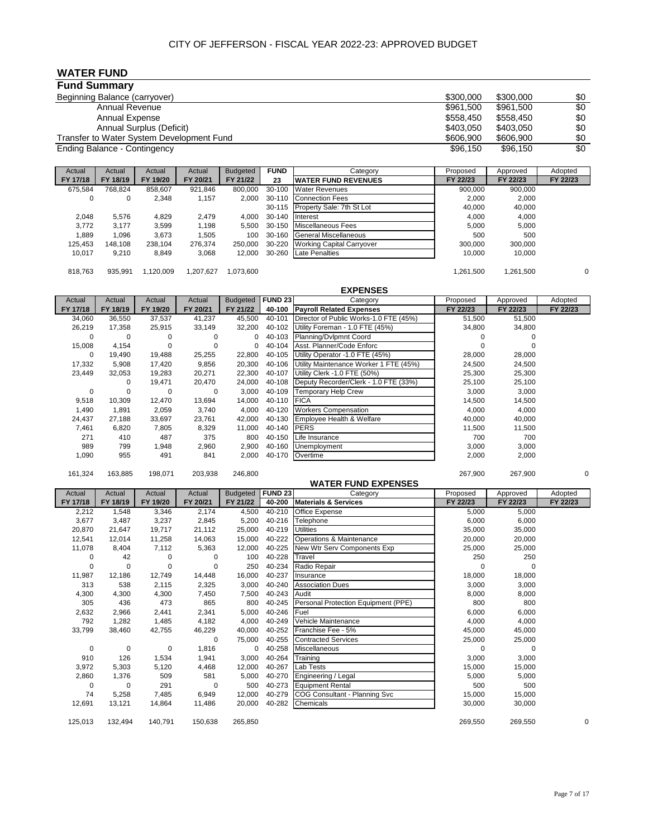**WATER FUND**

| <b>Fund Summary</b>                       |           |           |     |
|-------------------------------------------|-----------|-----------|-----|
| Beginning Balance (carryover)             | \$300,000 | \$300,000 | \$0 |
| Annual Revenue                            | \$961,500 | \$961,500 | \$0 |
| <b>Annual Expense</b>                     | \$558.450 | \$558.450 | \$0 |
| Annual Surplus (Deficit)                  | \$403.050 | \$403.050 | \$0 |
| Transfer to Water System Development Fund | \$606,900 | \$606,900 | \$0 |
| Ending Balance - Contingency              | \$96,150  | \$96,150  | \$0 |

| Actual   | Actual   | Actual   | Actual    | <b>Budgeted</b> | <b>FUND</b> | Category                         | Proposed  | Approved  | Adopted      |
|----------|----------|----------|-----------|-----------------|-------------|----------------------------------|-----------|-----------|--------------|
| FY 17/18 | FY 18/19 | FY 19/20 | FY 20/21  | FY 21/22        | 23          | <b>WATER FUND REVENUES</b>       | FY 22/23  | FY 22/23  | FY 22/23     |
| 675,584  | 768,824  | 858,607  | 921,846   | 800.000         | 30-100      | <b>Water Revenues</b>            | 900,000   | 900,000   |              |
| 0        | 0        | 2,348    | 1,157     | 2.000           |             | 30-110 Connection Fees           | 2.000     | 2.000     |              |
|          |          |          |           |                 |             | 30-115 Property Sale: 7th St Lot | 40,000    | 40,000    |              |
| 2.048    | 5.576    | 4.829    | 2.479     | 4.000           | 30-140      | Interest                         | 4.000     | 4.000     |              |
| 3.772    | 3.177    | 3,599    | 1.198     | 5.500           | 30-150      | <b>Miscellaneous Fees</b>        | 5.000     | 5.000     |              |
| 1.889    | 1,096    | 3,673    | 1,505     | 100             | 30-160      | <b>General Miscellaneous</b>     | 500       | 500       |              |
| 125,453  | 148.108  | 238.104  | 276,374   | 250,000         | 30-220      | <b>Working Capital Carryover</b> | 300,000   | 300,000   |              |
| 10.017   | 9,210    | 8,849    | 3,068     | 12.000          | 30-260      | Late Penalties                   | 10.000    | 10,000    |              |
|          |          |          |           |                 |             |                                  |           |           |              |
| 818,763  | 935.991  | .120.009 | 1.207.627 | 1,073,600       |             |                                  | 1.261.500 | 1,261,500 | $\mathbf{0}$ |

|          |          |          |          |                 |                | <b>EXPENSES</b>                        |          |          |          |
|----------|----------|----------|----------|-----------------|----------------|----------------------------------------|----------|----------|----------|
| Actual   | Actual   | Actual   | Actual   | <b>Budgeted</b> | <b>FUND 23</b> | Category                               | Proposed | Approved | Adopted  |
| FY 17/18 | FY 18/19 | FY 19/20 | FY 20/21 | FY 21/22        | 40-100         | <b>Payroll Related Expenses</b>        | FY 22/23 | FY 22/23 | FY 22/23 |
| 34,060   | 36,550   | 37,537   | 41,237   | 45,500          | 40-101         | Director of Public Works-1.0 FTE (45%) | 51,500   | 51,500   |          |
| 26,219   | 17,358   | 25,915   | 33,149   | 32,200          | 40-102         | Utility Foreman - 1.0 FTE (45%)        | 34,800   | 34,800   |          |
| $\Omega$ | $\Omega$ |          |          |                 | 40-103         | Planning/Dvlpmnt Coord                 |          |          |          |
| 15,008   | 4,154    | $\Omega$ | 0        |                 | 40-104         | Asst. Planner/Code Enforc              |          |          |          |
| 0        | 19.490   | 19,488   | 25,255   | 22,800          | 40-105         | Utility Operator -1.0 FTE (45%)        | 28,000   | 28,000   |          |
| 17,332   | 5,908    | 17,420   | 9,856    | 20,300          | 40-106         | Utility Maintenance Worker 1 FTE (45%) | 24,500   | 24,500   |          |
| 23,449   | 32,053   | 19,283   | 20,271   | 22,300          | 40-107         | Utility Clerk -1.0 FTE (50%)           | 25,300   | 25,300   |          |
|          |          | 19,471   | 20,470   | 24,000          | 40-108         | Deputy Recorder/Clerk - 1.0 FTE (33%)  | 25,100   | 25,100   |          |
| 0        | 0        | $\Omega$ | 0        | 3,000           | 40-109         | Temporary Help Crew                    | 3,000    | 3,000    |          |
| 9,518    | 10,309   | 12,470   | 13,694   | 14,000          | 40-110         | <b>FICA</b>                            | 14,500   | 14,500   |          |
| 1,490    | 1,891    | 2,059    | 3,740    | 4,000           | 40-120         | <b>Workers Compensation</b>            | 4,000    | 4,000    |          |
| 24,437   | 27,188   | 33,697   | 23,761   | 42,000          | 40-130         | Employee Health & Welfare              | 40,000   | 40,000   |          |
| 7,461    | 6,820    | 7,805    | 8,329    | 11,000          | 40-140         | <b>PERS</b>                            | 11,500   | 11,500   |          |
| 271      | 410      | 487      | 375      | 800             | 40-150         | Life Insurance                         | 700      | 700      |          |
| 989      | 799      | 1,948    | 2,960    | 2,900           | 40-160         | Unemployment                           | 3,000    | 3,000    |          |
| 1,090    | 955      | 491      | 841      | 2,000           |                | 40-170 Overtime                        | 2,000    | 2,000    |          |

161,324 163,885 198,071 203,938 246,800 267,900 267,900 0

|          |             |          |          |                 |                | <b>WATER FUND EXPENSES</b>           |          |          |          |
|----------|-------------|----------|----------|-----------------|----------------|--------------------------------------|----------|----------|----------|
| Actual   | Actual      | Actual   | Actual   | <b>Budgeted</b> | <b>FUND 23</b> | Category                             | Proposed | Approved | Adopted  |
| FY 17/18 | FY 18/19    | FY 19/20 | FY 20/21 | FY 21/22        | 40-200         | <b>Materials &amp; Services</b>      | FY 22/23 | FY 22/23 | FY 22/23 |
| 2,212    | 1,548       | 3,346    | 2,174    | 4,500           | 40-210         | Office Expense                       | 5,000    | 5,000    |          |
| 3,677    | 3,487       | 3,237    | 2,845    | 5,200           | 40-216         | Telephone                            | 6,000    | 6,000    |          |
| 20,870   | 21,647      | 19,717   | 21,112   | 25,000          | 40-219         | <b>Utilities</b>                     | 35,000   | 35,000   |          |
| 12,541   | 12,014      | 11,258   | 14,063   | 15,000          | 40-222         | Operations & Maintenance             | 20,000   | 20,000   |          |
| 11,078   | 8,404       | 7,112    | 5,363    | 12,000          | 40-225         | New Wtr Serv Components Exp          | 25,000   | 25,000   |          |
| 0        | 42          | 0        | 0        | 100             | 40-228         | Travel                               | 250      | 250      |          |
| 0        | 0           | 0        | 0        | 250             | 40-234         | Radio Repair                         | O        | $\Omega$ |          |
| 11,987   | 12,186      | 12,749   | 14,448   | 16,000          | 40-237         | Insurance                            | 18,000   | 18,000   |          |
| 313      | 538         | 2,115    | 2,325    | 3,000           | 40-240         | <b>Association Dues</b>              | 3,000    | 3,000    |          |
| 4,300    | 4,300       | 4,300    | 7,450    | 7,500           | 40-243         | Audit                                | 8,000    | 8,000    |          |
| 305      | 436         | 473      | 865      | 800             | 40-245         | Personal Protection Equipment (PPE)  | 800      | 800      |          |
| 2,632    | 2,966       | 2,441    | 2,341    | 5,000           | 40-246         | Fuel                                 | 6,000    | 6,000    |          |
| 792      | 1,282       | 1,485    | 4,182    | 4,000           | 40-249         | Vehicle Maintenance                  | 4,000    | 4,000    |          |
| 33,799   | 38,460      | 42,755   | 46,229   | 40,000          | 40-252         | Franchise Fee - 5%                   | 45,000   | 45,000   |          |
|          |             |          | 0        | 75,000          | 40-255         | <b>Contracted Services</b>           | 25,000   | 25,000   |          |
| 0        | $\mathbf 0$ | 0        | 1,816    | 0               | 40-258         | <b>Miscellaneous</b>                 | O        | $\Omega$ |          |
| 910      | 126         | 1,534    | 1,941    | 3,000           | 40-264         | Training                             | 3,000    | 3,000    |          |
| 3,972    | 5,303       | 5,120    | 4,468    | 12,000          | 40-267         | Lab Tests                            | 15,000   | 15,000   |          |
| 2,860    | 1,376       | 509      | 581      | 5,000           | 40-270         | Engineering / Legal                  | 5,000    | 5,000    |          |
| 0        | $\mathbf 0$ | 291      | $\Omega$ | 500             | 40-273         | <b>Equipment Rental</b>              | 500      | 500      |          |
| 74       | 5,258       | 7,485    | 6,949    | 12,000          | 40-279         | <b>COG Consultant - Planning Svc</b> | 15,000   | 15,000   |          |
| 12,691   | 13,121      | 14,864   | 11,486   | 20,000          | 40-282         | Chemicals                            | 30,000   | 30,000   |          |
| 125,013  | 132,494     | 140,791  | 150,638  | 265,850         |                |                                      | 269,550  | 269,550  | 0        |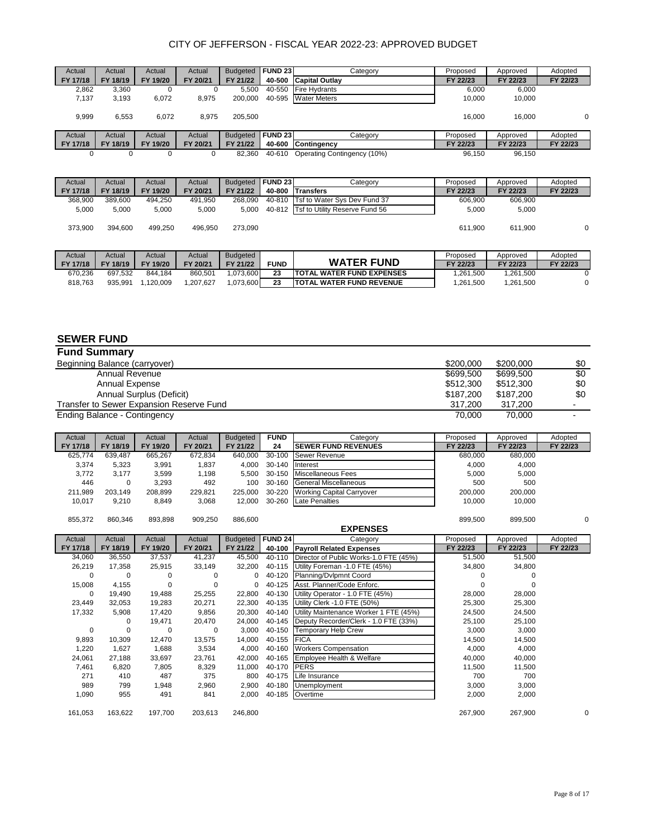| Actual   | Actual   | Actual   | Actual   | <b>Budgeted</b> | <b>FUND 23</b> | Category                    | Proposed | Approved | Adopted  |
|----------|----------|----------|----------|-----------------|----------------|-----------------------------|----------|----------|----------|
| FY 17/18 | FY 18/19 | FY 19/20 | FY 20/21 | FY 21/22        | 40-500         | <b>Capital Outlay</b>       | FY 22/23 | FY 22/23 | FY 22/23 |
| 2,862    | 3,360    |          |          | 5,500           | 40-550         | <b>Fire Hydrants</b>        | 6,000    | 6,000    |          |
| 7,137    | 3,193    | 6,072    | 8,975    | 200,000         | 40-595         | <b>Water Meters</b>         | 10.000   | 10,000   |          |
| 9,999    | 6,553    | 6.072    | 8.975    | 205.500         |                |                             | 16.000   | 16.000   | $\Omega$ |
| Actual   | Actual   | Actual   | Actual   | <b>Budgeted</b> | <b>FUND 23</b> | Category                    | Proposed | Approved | Adopted  |
| FY 17/18 | FY 18/19 | FY 19/20 | FY 20/21 | FY 21/22        | 40-600         | <b>Contingency</b>          | FY 22/23 | FY 22/23 | FY 22/23 |
|          | 0        |          |          | 82.360          | 40-610         | Operating Contingency (10%) | 96.150   | 96.150   |          |

| Actual   | Actual   | Actual   | Actual   | <b>Budgeted</b> | <b>FUND 23</b> | Category                              | Proposed  | Approved  | Adopted  |
|----------|----------|----------|----------|-----------------|----------------|---------------------------------------|-----------|-----------|----------|
| FY 17/18 | FY 18/19 | FY 19/20 | FY 20/21 | FY 21/22        | 40-800         | <b>Transfers</b>                      | FY 22/23  | FY 22/23  | FY 22/23 |
| 368,900  | 389.600  | 494.250  | 491.950  | 268.090         | 40-810         | Tsf to Water Sys Dev Fund 37          | 606.900   | 606.900   |          |
| 5,000    | 5.000    | 5,000    | 5,000    | 5.000           |                | 40-812 Tsf to Utility Reserve Fund 56 | 5,000     | 5,000     |          |
| 373.900  | 394.600  | 499.250  | 496.950  | 273.090         |                |                                       | 611.900   | 611.900   | 0        |
| Actual   | Actual   | Actual   | Actual   | <b>Budgeted</b> |                |                                       | Proposed  | Approved  | Adopted  |
| FY 17/18 | FY 18/19 | FY 19/20 | FY 20/21 | FY 21/22        | <b>FUND</b>    | <b>WATER FUND</b>                     | FY 22/23  | FY 22/23  | FY 22/23 |
| 670.236  | 697.532  | 844.184  | 860.501  | .073.600        | 23             | <b>TOTAL WATER FUND EXPENSES</b>      | 1.261.500 | 1.261.500 | $\Omega$ |

818,763 935,991 1,120,009 1,207,627 1,073,600 **23 TOTAL WATER FUND REVENUE** 1,261,500 1,261,500 0

#### **SEWER FUND**

| <b>Fund Summary</b>                      |           |           |                |
|------------------------------------------|-----------|-----------|----------------|
| Beginning Balance (carryover)            | \$200,000 | \$200,000 | \$0            |
| Annual Revenue                           | \$699,500 | \$699,500 | \$0            |
| Annual Expense                           | \$512,300 | \$512,300 | \$0            |
| Annual Surplus (Deficit)                 | \$187,200 | \$187,200 | \$0            |
| Transfer to Sewer Expansion Reserve Fund | 317.200   | 317.200   | ۰              |
| Ending Balance - Contingency             | 70.000    | 70.000    | $\blacksquare$ |

| Actual   | Actual   | Actual   | Actual   | <b>Budgeted</b> | <b>FUND</b> | Category                   | Proposed | Approved | Adopted  |
|----------|----------|----------|----------|-----------------|-------------|----------------------------|----------|----------|----------|
| FY 17/18 | FY 18/19 | FY 19/20 | FY 20/21 | FY 21/22        | 24          | <b>SEWER FUND REVENUES</b> | FY 22/23 | FY 22/23 | FY 22/23 |
| 625,774  | 639.487  | 665.267  | 672,834  | 640.000         | 30-100      | Sewer Revenue              | 680.000  | 680.000  |          |
| 3,374    | 5.323    | 3,991    | .837     | 4.000           | 30-140      | <b>Interest</b>            | 4.000    | 4.000    |          |
| 3.772    | 3.177    | 3.599    | l.198    | 5.500           | 30-150      | Miscellaneous Fees         | 5.000    | 5.000    |          |
| 446      | 0        | 3.293    | 492      | 100             | 30-160      | General Miscellaneous      | 500      | 500      |          |
| 211,989  | 203.149  | 208.899  | 229,821  | 225.000         | 30-220      | Working Capital Carryover  | 200.000  | 200.000  |          |
| 10,017   | 9,210    | 8,849    | 3,068    | 12.000          | 30-260      | <b>Late Penalties</b>      | 10,000   | 10,000   |          |

855,372 860,346 893,898 909,250 886,600 899,500 899,500 0

| 855,372  | 800,340  | 893,898  | <b>ANA'SON</b> | <b>000,000</b>  |                |                                        | <b>099,000</b> | <b>DUC, PRO</b> | v        |
|----------|----------|----------|----------------|-----------------|----------------|----------------------------------------|----------------|-----------------|----------|
|          |          |          |                |                 |                | <b>EXPENSES</b>                        |                |                 |          |
| Actual   | Actual   | Actual   | Actual         | <b>Budgeted</b> | <b>FUND 24</b> | Category                               | Proposed       | Approved        | Adopted  |
| FY 17/18 | FY 18/19 | FY 19/20 | FY 20/21       | FY 21/22        | 40-100         | <b>Payroll Related Expenses</b>        | FY 22/23       | FY 22/23        | FY 22/23 |
| 34,060   | 36,550   | 37,537   | 41,237         | 45,500          | 40-110         | Director of Public Works-1.0 FTE (45%) | 51,500         | 51,500          |          |
| 26,219   | 17,358   | 25,915   | 33,149         | 32,200          |                | 40-115 Utility Foreman -1.0 FTE (45%)  | 34,800         | 34,800          |          |
| 0        | 0        |          |                | 0               | 40-120         | Planning/Dvlpmnt Coord                 |                |                 |          |
| 15,008   | 4,155    |          |                | 0               | 40-125         | Asst. Planner/Code Enforc.             |                |                 |          |
| 0        | 19,490   | 19,488   | 25,255         | 22,800          | 40-130         | Utility Operator - 1.0 FTE (45%)       | 28,000         | 28,000          |          |
| 23,449   | 32,053   | 19,283   | 20,271         | 22,300          |                | 40-135 Utility Clerk -1.0 FTE (50%)    | 25,300         | 25,300          |          |
| 17,332   | 5,908    | 17,420   | 9,856          | 20,300          | 40-140         | Utility Maintenance Worker 1 FTE (45%) | 24,500         | 24,500          |          |
|          | 0        | 19,471   | 20,470         | 24,000          | 40-145         | Deputy Recorder/Clerk - 1.0 FTE (33%)  | 25,100         | 25,100          |          |
| 0        | 0        | 0        | 0              | 3,000           | 40-150         | <b>Temporary Help Crew</b>             | 3,000          | 3,000           |          |
| 9,893    | 10,309   | 12,470   | 13,575         | 14,000          | 40-155 FICA    |                                        | 14,500         | 14,500          |          |
| 1,220    | 1,627    | 1,688    | 3,534          | 4,000           | 40-160         | <b>Workers Compensation</b>            | 4,000          | 4,000           |          |
| 24,061   | 27,188   | 33,697   | 23,761         | 42,000          | 40-165         | Employee Health & Welfare              | 40,000         | 40,000          |          |
| 7,461    | 6,820    | 7,805    | 8,329          | 11,000          | 40-170         | <b>PERS</b>                            | 11,500         | 11,500          |          |
| 271      | 410      | 487      | 375            | 800             | 40-175         | Life Insurance                         | 700            | 700             |          |
| 989      | 799      | 1,948    | 2,960          | 2,900           | 40-180         | Unemployment                           | 3,000          | 3,000           |          |
| 1,090    | 955      | 491      | 841            | 2,000           |                | 40-185 Overtime                        | 2,000          | 2,000           |          |
| 161,053  | 163,622  | 197,700  | 203,613        | 246,800         |                |                                        | 267,900        | 267,900         | 0        |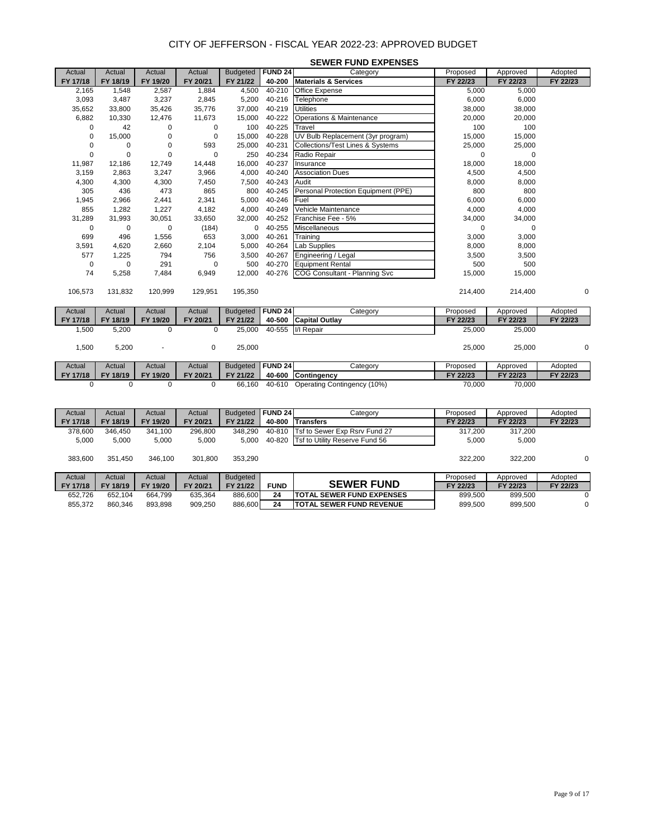|             |             |             |             |                 |                | <b>SEWER FUND EXPENSES</b>                  |             |             |          |
|-------------|-------------|-------------|-------------|-----------------|----------------|---------------------------------------------|-------------|-------------|----------|
| Actual      | Actual      | Actual      | Actual      | <b>Budgeted</b> | <b>FUND 24</b> | Category                                    | Proposed    | Approved    | Adopted  |
| FY 17/18    | FY 18/19    | FY 19/20    | FY 20/21    | FY 21/22        | 40-200         | <b>Materials &amp; Services</b>             | FY 22/23    | FY 22/23    | FY 22/23 |
| 2,165       | 1,548       | 2,587       | 1,884       | 4,500           | 40-210         | Office Expense                              | 5,000       | 5,000       |          |
| 3,093       | 3,487       | 3,237       | 2,845       | 5,200           | 40-216         | Telephone                                   | 6,000       | 6,000       |          |
| 35,652      | 33,800      | 35,426      | 35,776      | 37,000          | 40-219         | <b>Utilities</b>                            | 38,000      | 38,000      |          |
| 6,882       | 10,330      | 12,476      | 11,673      | 15,000          | 40-222         | Operations & Maintenance                    | 20,000      | 20,000      |          |
| $\mathbf 0$ | 42          | 0           | 0           | 100             | 40-225         | Travel                                      | 100         | 100         |          |
| 0           | 15,000      | 0           | 0           | 15,000          | 40-228         | UV Bulb Replacement (3yr program)           | 15,000      | 15,000      |          |
| 0           | 0           | 0           | 593         | 25,000          | 40-231         | <b>Collections/Test Lines &amp; Systems</b> | 25,000      | 25,000      |          |
| 0           | $\mathbf 0$ | 0           | $\mathbf 0$ | 250             | 40-234         | Radio Repair                                | 0           | $\mathbf 0$ |          |
| 11,987      | 12,186      | 12,749      | 14,448      | 16,000          | 40-237         | Insurance                                   | 18,000      | 18,000      |          |
| 3,159       | 2,863       | 3,247       | 3,966       | 4,000           | 40-240         | <b>Association Dues</b>                     | 4,500       | 4,500       |          |
| 4,300       | 4,300       | 4,300       | 7,450       | 7,500           | 40-243         | Audit                                       | 8,000       | 8,000       |          |
| 305         | 436         | 473         | 865         | 800             | 40-245         | Personal Protection Equipment (PPE)         | 800         | 800         |          |
| 1,945       | 2,966       | 2,441       | 2,341       | 5,000           | 40-246         | Fuel                                        | 6,000       | 6,000       |          |
| 855         | 1,282       | 1,227       | 4,182       | 4,000           | 40-249         | Vehicle Maintenance                         | 4,000       | 4,000       |          |
| 31,289      | 31,993      | 30,051      | 33,650      | 32,000          | 40-252         | Franchise Fee - 5%                          | 34,000      | 34,000      |          |
| $\mathbf 0$ | $\pmb{0}$   | $\pmb{0}$   | (184)       | 0               | 40-255         | Miscellaneous                               | $\mathbf 0$ | $\mathbf 0$ |          |
| 699         | 496         | 1,556       | 653         | 3,000           | 40-261         | Training                                    | 3,000       | 3,000       |          |
| 3,591       | 4,620       | 2,660       | 2,104       | 5,000           | 40-264         | Lab Supplies                                | 8,000       | 8,000       |          |
| 577         | 1,225       | 794         | 756         | 3,500           | 40-267         | Engineering / Legal                         | 3,500       | 3,500       |          |
| 0           | 0           | 291         | $\mathbf 0$ | 500             | 40-270         | <b>Equipment Rental</b>                     | 500         | 500         |          |
| 74          | 5,258       | 7,484       | 6,949       | 12,000          | 40-276         | COG Consultant - Planning Svc               | 15,000      | 15,000      |          |
|             |             |             |             |                 |                |                                             |             |             |          |
| 106,573     | 131,832     | 120,999     | 129,951     | 195,350         |                |                                             | 214,400     | 214,400     | 0        |
|             |             |             |             |                 |                |                                             |             |             |          |
| Actual      | Actual      | Actual      | Actual      | <b>Budgeted</b> | <b>FUND 24</b> | Category                                    | Proposed    | Approved    | Adopted  |
| FY 17/18    | FY 18/19    | FY 19/20    | FY 20/21    | FY 21/22        | 40-500         | <b>Capital Outlay</b>                       | FY 22/23    | FY 22/23    | FY 22/23 |
| 1,500       | 5,200       | $\mathbf 0$ | 0           | 25,000          | 40-555         | I/I Repair                                  | 25,000      | 25,000      |          |
|             |             |             |             |                 |                |                                             |             |             |          |
| 1,500       | 5,200       |             | 0           | 25,000          |                |                                             | 25,000      | 25,000      | 0        |
|             |             |             |             |                 |                |                                             |             |             |          |
| Actual      | Actual      | Actual      | Actual      | <b>Budgeted</b> | <b>FUND 24</b> | Category                                    | Proposed    | Approved    | Adopted  |
| FY 17/18    | FY 18/19    | FY 19/20    | FY 20/21    | FY 21/22        | 40-600         | Contingency                                 | FY 22/23    | FY 22/23    | FY 22/23 |
| 0           | 0           | $\mathbf 0$ | 0           | 66.160          |                | 40-610 Operating Contingency (10%)          | 70.000      | 70.000      |          |

| Actual   | Actual   | Actual   | Actual   | <b>Budgeted</b> | <b>FUND 24</b> | Category                          | Proposed | Approved | Adopted  |
|----------|----------|----------|----------|-----------------|----------------|-----------------------------------|----------|----------|----------|
| FY 17/18 | FY 18/19 | FY 19/20 | FY 20/21 | FY 21/22        | 40-800         | <b>Transfers</b>                  | FY 22/23 | FY 22/23 | FY 22/23 |
| 378,600  | 346.450  | 341.100  | 296,800  | 348.290         | 40-810         | Tsf to Sewer Exp Rsrv Fund 27     | 317.200  | 317,200  |          |
| 5,000    | 5.000    | 5.000    | 5,000    | 5,000           | 40-820         | Tsf to Utility Reserve Fund 56    | 5.000    | 5,000    |          |
|          |          |          |          |                 |                |                                   |          |          |          |
| 383,600  | 351.450  | 346.100  | 301,800  | 353.290         |                |                                   | 322.200  | 322.200  | 0        |
|          |          |          |          |                 |                |                                   |          |          |          |
| Actual   | Actual   | Actual   | Actual   | Budgeted        |                |                                   | Proposed | Approved | Adopted  |
| FY 17/18 | FY 18/19 | FY 19/20 | FY 20/21 | FY 21/22        | <b>FUND</b>    | <b>SEWER FUND</b>                 | FY 22/23 | FY 22/23 | FY 22/23 |
| 652,726  | 652.104  | 664.799  | 635,364  | 886,600         | 24             | <b>ITOTAL SEWER FUND EXPENSES</b> | 899,500  | 899.500  |          |
| 855,372  | 860,346  | 893.898  | 909,250  | 886,600         | 24             | <b>TOTAL SEWER FUND REVENUE</b>   | 899,500  | 899.500  | 0        |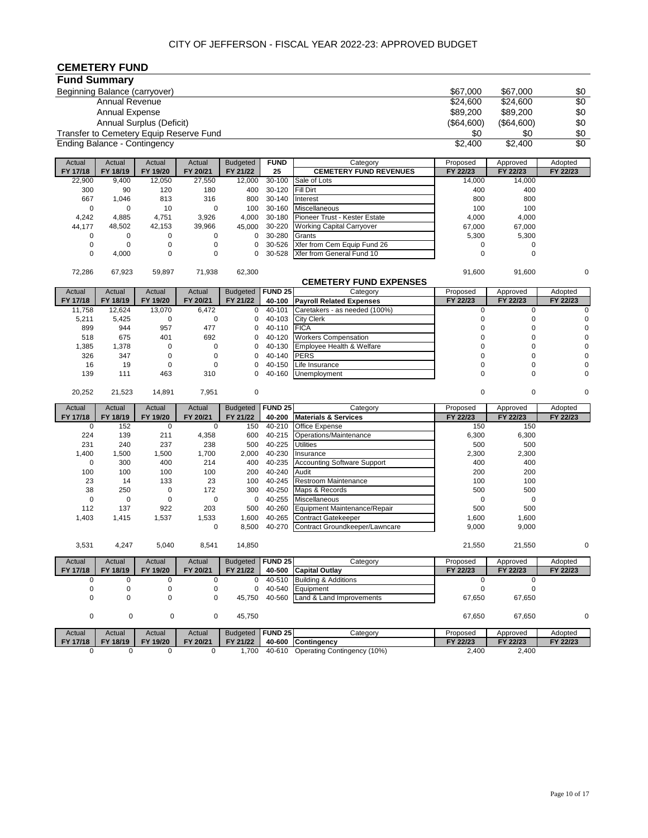# **CEMETERY FUND**

|                     | שווט ו וושום ושווה            |                              |                                         |                 |                |                                    |             |             |                 |
|---------------------|-------------------------------|------------------------------|-----------------------------------------|-----------------|----------------|------------------------------------|-------------|-------------|-----------------|
| <b>Fund Summary</b> |                               |                              |                                         |                 |                |                                    |             |             |                 |
|                     | Beginning Balance (carryover) |                              |                                         |                 |                |                                    | \$67,000    | \$67,000    | \$0             |
|                     | <b>Annual Revenue</b>         |                              |                                         |                 |                |                                    | \$24,600    | \$24,600    | \$0             |
|                     | Annual Expense                |                              |                                         |                 |                |                                    | \$89,200    | \$89,200    | \$0             |
|                     |                               | Annual Surplus (Deficit)     |                                         |                 |                |                                    | (\$64,600)  | (\$64,600)  | \$0             |
|                     |                               |                              | Transfer to Cemetery Equip Reserve Fund |                 |                |                                    | \$0         | \$0         | \$0             |
|                     |                               |                              |                                         |                 |                |                                    |             |             |                 |
|                     |                               | Ending Balance - Contingency |                                         |                 |                |                                    | \$2,400     | \$2,400     | $\overline{30}$ |
| Actual              | Actual                        | Actual                       | Actual                                  | <b>Budgeted</b> | <b>FUND</b>    | Category                           | Proposed    | Approved    | Adopted         |
| FY 17/18            | FY 18/19                      | FY 19/20                     | FY 20/21                                | FY 21/22        | 25             | <b>CEMETERY FUND REVENUES</b>      | FY 22/23    | FY 22/23    | FY 22/23        |
| 22,900              | 9,400                         | 12,050                       | 27,550                                  | 12,000          | 30-100         | Sale of Lots                       | 14,000      | 14,000      |                 |
| 300                 | 90                            | 120                          | 180                                     | 400             | 30-120         | Fill Dirt                          | 400         | 400         |                 |
| 667                 | 1,046                         | 813                          | 316                                     | 800             | 30-140         | Interest                           | 800         | 800         |                 |
| 0                   | $\mathbf 0$                   | 10                           | $\pmb{0}$                               | 100             | 30-160         | Miscellaneous                      | 100         | 100         |                 |
| 4,242               | 4,885                         | 4,751                        | 3,926                                   | 4,000           | 30-180         | Pioneer Trust - Kester Estate      | 4,000       | 4,000       |                 |
| 44,177              | 48,502                        | 42,153                       | 39,966                                  | 45,000          | 30-220         | <b>Working Capital Carryover</b>   | 67,000      | 67,000      |                 |
| 0                   | 0                             | 0                            | 0                                       | 0               | 30-280         | Grants                             | 5,300       | 5,300       |                 |
| 0                   | $\mathbf 0$                   | 0                            | $\pmb{0}$                               | 0               | 30-526         | Xfer from Cem Equip Fund 26        | 0           | 0           |                 |
| 0                   | 4,000                         | 0                            | $\pmb{0}$                               | 0               | 30-528         | Xfer from General Fund 10          | $\mathbf 0$ | $\mathbf 0$ |                 |
| 72,286              | 67,923                        | 59,897                       | 71,938                                  | 62,300          |                |                                    | 91,600      | 91,600      | 0               |
|                     |                               |                              |                                         |                 |                | <b>CEMETERY FUND EXPENSES</b>      |             |             |                 |
| Actual              | Actual                        | Actual                       | Actual                                  | <b>Budgeted</b> | <b>FUND 25</b> | Category                           | Proposed    | Approved    | Adopted         |
| FY 17/18            | FY 18/19                      | FY 19/20                     | FY 20/21                                | FY 21/22        | 40-100         | <b>Payroll Related Expenses</b>    | FY 22/23    | FY 22/23    | FY 22/23        |
| 11,758              | 12,624                        | 13,070                       | 6,472                                   | $\mathbf 0$     | 40-101         | Caretakers - as needed (100%)      | $\pmb{0}$   | $\mathbf 0$ | $\mathbf 0$     |
| 5,211               | 5,425                         | 0                            | 0                                       | 0               | 40-103         | <b>City Clerk</b>                  | $\mathbf 0$ | 0           | $\mathbf 0$     |
| 899                 | 944                           | 957                          | 477                                     | 0               | 40-110         | <b>FICA</b>                        | 0           | $\mathbf 0$ | $\mathbf 0$     |
| 518                 | 675                           | 401                          | 692                                     | 0               | 40-120         | <b>Workers Compensation</b>        | $\mathbf 0$ | $\mathbf 0$ | $\mathbf 0$     |
| 1,385               | 1,378                         | 0                            | $\pmb{0}$                               | 0               | 40-130         | Employee Health & Welfare          | $\mathbf 0$ | $\mathbf 0$ | $\mathbf 0$     |
| 326                 | 347                           | $\mathbf 0$                  | $\pmb{0}$                               | 0               | 40-140         | <b>PERS</b>                        | $\mathbf 0$ | $\mathbf 0$ |                 |
| 16                  | 19                            | $\mathbf 0$                  | 0                                       | 0               | 40-150         | Life Insurance                     | $\mathbf 0$ | $\mathbf 0$ |                 |
| 139                 | 111                           | 463                          | 310                                     | 0               | 40-160         | Unemployment                       | $\mathbf 0$ | $\Omega$    | $\Omega$        |
|                     |                               |                              |                                         |                 |                |                                    |             |             |                 |
| 20,252              | 21,523                        | 14,891                       | 7,951                                   | 0               |                |                                    | $\mathbf 0$ | 0           | 0               |
| Actual              | Actual                        | Actual                       | Actual                                  | <b>Budgeted</b> | <b>FUND 25</b> | Category                           | Proposed    | Approved    | Adopted         |
| FY 17/18            | FY 18/19                      | FY 19/20                     | FY 20/21                                | FY 21/22        | 40-200         | <b>Materials &amp; Services</b>    | FY 22/23    | FY 22/23    | FY 22/23        |
| 0                   | 152                           | 0                            | 0                                       | 150             | 40-210         | Office Expense                     | 150         | 150         |                 |
| 224                 | 139                           | 211                          | 4,358                                   | 600             | 40-215         | Operations/Maintenance             | 6,300       | 6,300       |                 |
| 231                 | 240                           | 237                          | 238                                     | 500             | 40-225         | <b>Utilities</b>                   | 500         | 500         |                 |
| 1,400               | 1,500                         | 1,500                        | 1,700                                   | 2,000           | 40-230         | Insurance                          | 2,300       | 2,300       |                 |
| 0                   | 300                           | 400                          | 214                                     | 400             | 40-235         | <b>Accounting Software Support</b> | 400         | 400         |                 |
| 100                 | 100                           | 100                          | 100                                     | 200             | 40-240         | Audit                              | 200         | 200         |                 |
| 23                  | 14                            | 133                          | 23                                      | 100             | 40-245         | Restroom Maintenance               | 100         | 100         |                 |
| 38                  | 250                           | $\mathbf 0$                  | 172                                     | 300             | 40-250         | Maps & Records                     | 500         | 500         |                 |
| $\pmb{0}$           | $\pmb{0}$                     | $\pmb{0}$                    | 0                                       | 0               | 40-255         | Miscellaneous                      | $\mathbf 0$ | 0           |                 |
| 112                 | 137                           | 922                          | 203                                     | 500             | 40-260         | Equipment Maintenance/Repair       | 500         | 500         |                 |
| 1,403               | 1,415                         | 1,537                        | 1,533                                   | 1,600           | 40-265         | <b>Contract Gatekeeper</b>         | 1,600       | 1,600       |                 |
|                     |                               |                              | 0                                       | 8,500           | 40-270         | Contract Groundkeeper/Lawncare     | 9,000       | 9,000       |                 |
| 3,531               | 4,247                         | 5,040                        | 8,541                                   | 14,850          |                |                                    | 21,550      | 21,550      |                 |
| Actual              | Actual                        | Actual                       | Actual                                  | <b>Budgeted</b> | <b>FUND 25</b> | Category                           | Proposed    | Approved    | Adopted         |
| FY 17/18            | FY 18/19                      | FY 19/20                     | FY 20/21                                | FY 21/22        | 40-500         | <b>Capital Outlay</b>              | FY 22/23    | FY 22/23    | FY 22/23        |
| 0                   | 0                             | 0                            | 0                                       | $\mathbf{0}$    | 40-510         | <b>Building &amp; Additions</b>    | 0           | $\mathbf 0$ |                 |
| 0                   | 0                             | 0                            | 0                                       | $\mathbf{0}$    | 40-540         | Equipment                          | 0           | $\pmb{0}$   |                 |
| 0                   | $\pmb{0}$                     | 0                            | 0                                       | 45,750          | 40-560         | Land & Land Improvements           | 67,650      | 67,650      |                 |
| 0                   | $\pmb{0}$                     | $\pmb{0}$                    | 0                                       | 45,750          |                |                                    | 67,650      | 67,650      | 0               |
| Actual              | Actual                        | Actual                       | Actual                                  | <b>Budgeted</b> | <b>FUND 25</b> | Category                           | Proposed    | Approved    | Adopted         |
| FY 17/18            | FY 18/19                      | FY 19/20                     | FY 20/21                                | FY 21/22        |                | 40-600 Contingency                 | FY 22/23    | FY 22/23    | FY 22/23        |
| 0                   | $\mathbf 0$                   | 0                            | 0                                       | 1,700           | 40-610         | Operating Contingency (10%)        | 2,400       | 2,400       |                 |
|                     |                               |                              |                                         |                 |                |                                    |             |             |                 |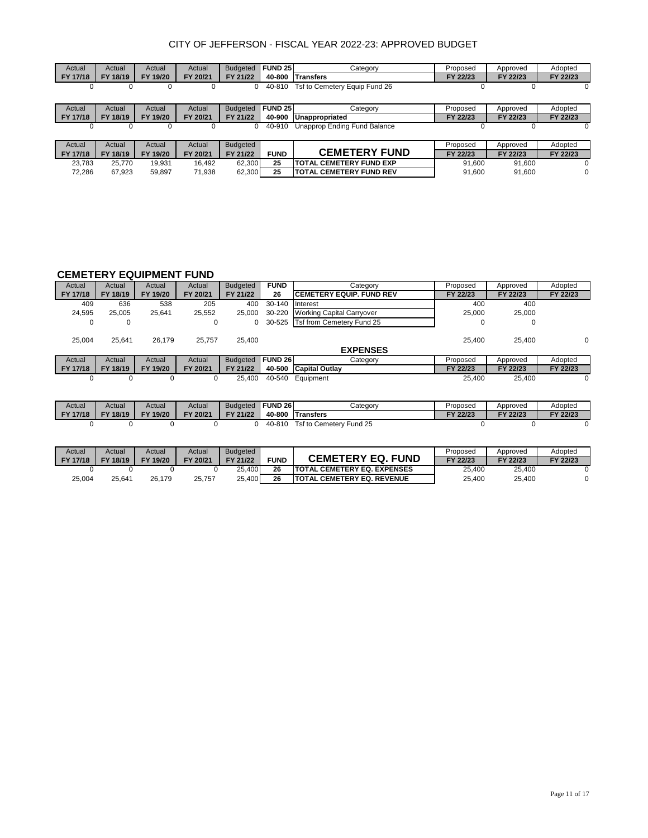| Actual   | Actual   | Actual   | Actual   | <b>Budgeted</b> | <b>FUND 25</b> | Categorv                       | Proposed | Approved | Adopted  |
|----------|----------|----------|----------|-----------------|----------------|--------------------------------|----------|----------|----------|
| FY 17/18 | FY 18/19 | FY 19/20 | FY 20/21 | FY 21/22        | 40-800         | <b>Transfers</b>               | FY 22/23 | FY 22/23 | FY 22/23 |
|          |          | O        |          |                 | 40-810         | Tsf to Cemetery Equip Fund 26  |          |          |          |
|          |          |          |          |                 |                |                                |          |          |          |
| Actual   | Actual   | Actual   | Actual   | <b>Budgeted</b> | <b>FUND 25</b> | Category                       | Proposed | Approved | Adopted  |
| FY 17/18 | FY 18/19 | FY 19/20 | FY 20/21 | FY 21/22        | 40-900         | Unappropriated                 | FY 22/23 | FY 22/23 | FY 22/23 |
|          | 0        | 0        |          |                 | 40-910         | Unapprop Ending Fund Balance   | $\Omega$ | $\Omega$ |          |
|          |          |          |          |                 |                |                                |          |          |          |
| Actual   | Actual   | Actual   | Actual   | <b>Budgeted</b> |                |                                | Proposed | Approved | Adopted  |
| FY 17/18 | FY 18/19 | FY 19/20 | FY 20/21 | FY 21/22        | <b>FUND</b>    | <b>CEMETERY FUND</b>           | FY 22/23 | FY 22/23 | FY 22/23 |
| 23.783   | 25.770   | 19.931   | 16.492   | 62.300          | 25             | <b>TOTAL CEMETERY FUND EXP</b> | 91.600   | 91.600   |          |
| 72.286   | 67.923   | 59.897   | 71.938   | 62,300          | 25             | <b>TOTAL CEMETERY FUND REV</b> | 91.600   | 91.600   | 0        |

## **CEMETERY EQUIPMENT FUND**

| Actual   | Actual   | Actual   | Actual   | <b>Budgeted</b> | <b>FUND</b>        | Category                         | Proposed | Approved | Adopted  |
|----------|----------|----------|----------|-----------------|--------------------|----------------------------------|----------|----------|----------|
| FY 17/18 | FY 18/19 | FY 19/20 | FY 20/21 | FY 21/22        | 26                 | <b>CEMETERY EQUIP. FUND REV</b>  | FY 22/23 | FY 22/23 | FY 22/23 |
| 409      | 636      | 538      | 205      | 400             | 30-140             | Interest                         | 400      | 400      |          |
| 24,595   | 25.005   | 25,641   | 25,552   | 25,000          | 30-220             | <b>Working Capital Carryover</b> | 25.000   | 25,000   |          |
| 0        | 0        |          | 0        | 0               | 30-525             | Tsf from Cemetery Fund 25        | 0        | 0        |          |
| 25.004   | 25.641   | 26.179   | 25.757   | 25,400          |                    | <b>EXPENSES</b>                  | 25.400   | 25,400   | 0        |
| Actual   | Actual   | Actual   | Actual   | <b>Budgeted</b> | FUND <sub>26</sub> | Category                         | Proposed | Approved | Adopted  |
| FY 17/18 | FY 18/19 | FY 19/20 | FY 20/21 | FY 21/22        | 40-500             | <b>Capital Outlav</b>            | FY 22/23 | FY 22/23 | FY 22/23 |
| 0        | 0        | 0        | 0        | 25.400          | 40-540             | Equipment                        | 25.400   | 25.400   | 0        |
|          |          |          |          |                 |                    |                                  |          |          |          |

| Actual          | Actual   | Actual   | Actual   | Budaeted | <b>FUND 26</b> | Cateqorv                                   | Proposed | Approved | Adopted  |
|-----------------|----------|----------|----------|----------|----------------|--------------------------------------------|----------|----------|----------|
| <b>FY 17/18</b> | FY 18/19 | FY 19/20 | FY 20/21 | FY 21/22 | 40-800         | <b>ITransfers</b>                          | FY 22/23 | FY 22/23 | FY 22/23 |
|                 |          |          |          |          | 40-810         | $Tsf$ to $\sqrt{ }$<br>Fund 25<br>Cemeterv |          |          |          |

| Actual   | Actual   | Actual             | Actual   | <b>Budgeted</b> |             |                                     | Proposed | Approved | Adopted  |
|----------|----------|--------------------|----------|-----------------|-------------|-------------------------------------|----------|----------|----------|
| FY 17/18 | FY 18/19 | 19/20<br><b>FY</b> | FY 20/21 | FY 21/22        | <b>FUND</b> | <b>CEMETERY EQ.</b><br>. FUND       | FY 22/23 | FY 22/23 | FY 22/23 |
|          |          |                    |          | 25.400          | 26          | <b>ITOTAL CEMETERY EQ. EXPENSES</b> | 25.400   | 25.400   |          |
| 25,004   | 25.641   | 26.179             | 25.757   | 25.400          | 26          | <b>ITOTAL CEMETERY EQ. REVENUE</b>  | 25.400   | 25.400   |          |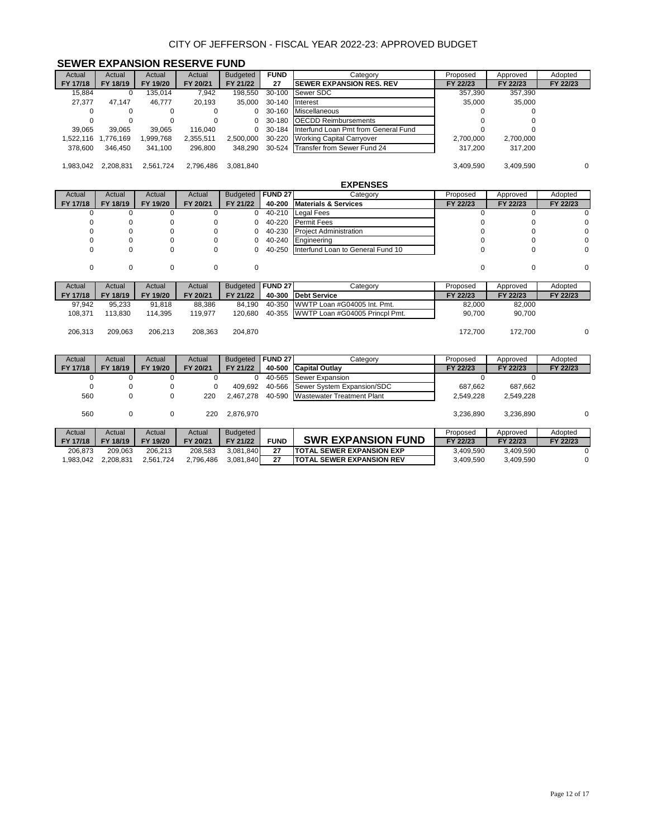#### **SEWER EXPANSION RESERVE FUND**

| Actual    | Actual    | Actual    | Actual    | <b>Budgeted</b> | <b>FUND</b> | Category                             | Proposed  | Approved  | Adopted  |
|-----------|-----------|-----------|-----------|-----------------|-------------|--------------------------------------|-----------|-----------|----------|
| FY 17/18  | FY 18/19  | FY 19/20  | FY 20/21  | FY 21/22        | 27          | <b>ISEWER EXPANSION RES. REV</b>     | FY 22/23  | FY 22/23  | FY 22/23 |
| 15.884    | 0         | 135.014   | 7.942     | 198.550         | 30-100      | Sewer SDC                            | 357,390   | 357,390   |          |
| 27.377    | 47.147    | 46.777    | 20.193    | 35,000          | 30-140      | <b>Interest</b>                      | 35,000    | 35,000    |          |
|           |           |           | $\Omega$  | 0               | 30-160      | Miscellaneous                        |           |           |          |
|           |           |           | 0         | 0.              | 30-180      | <b>OECDD Reimbursements</b>          |           |           |          |
| 39,065    | 39.065    | 39.065    | 116.040   | $\Omega$        | 30-184      | Interfund Loan Pmt from General Fund |           |           |          |
| .522.116  | .776.169  | .999.768  | 2.355.511 | 2.500.000       | 30-220      | Working Capital Carryover            | 2,700,000 | 2.700.000 |          |
| 378,600   | 346,450   | 341,100   | 296,800   | 348.290         |             | 30-524 Transfer from Sewer Fund 24   | 317,200   | 317,200   |          |
|           |           |           |           |                 |             |                                      |           |           |          |
| 1.983.042 | 2,208,831 | 2,561,724 | 2,796,486 | 3.081.840       |             |                                      | 3,409,590 | 3,409,590 | $\Omega$ |

|          |          |             |             |                 |                | <b>EXPENSES</b>                       |             |          |          |
|----------|----------|-------------|-------------|-----------------|----------------|---------------------------------------|-------------|----------|----------|
| Actual   | Actual   | Actual      | Actual      | <b>Budgeted</b> | <b>FUND 27</b> | Category                              | Proposed    | Approved | Adopted  |
| FY 17/18 | FY 18/19 | FY 19/20    | FY 20/21    | FY 21/22        | 40-200         | <b>Materials &amp; Services</b>       | FY 22/23    | FY 22/23 | FY 22/23 |
|          | 0        | 0           |             | 0               | 40-210         | Legal Fees                            |             |          |          |
|          |          |             |             | 0               | 40-220         | Permit Fees                           |             |          |          |
|          |          | 0           |             | 0               | 40-230         | <b>Project Administration</b>         |             |          |          |
|          |          | $\Omega$    |             | 0               | 40-240         | Engineering                           |             |          |          |
|          | 0        | 0           | $\mathbf 0$ | 0               | 40-250         | Interfund Loan to General Fund 10     | 0           |          | $\Omega$ |
|          |          |             |             |                 |                |                                       |             |          |          |
| 0        | 0        | $\mathbf 0$ | 0           | 0               |                |                                       | $\mathbf 0$ | $\Omega$ | 0        |
|          |          |             |             |                 |                |                                       |             |          |          |
|          |          |             |             |                 |                |                                       |             |          |          |
| Actual   | Actual   | Actual      | Actual      | <b>Budgeted</b> | <b>FUND 27</b> | Category                              | Proposed    | Approved | Adopted  |
| FY 17/18 | FY 18/19 | FY 19/20    | FY 20/21    | FY 21/22        | 40-300         | <b>Debt Service</b>                   | FY 22/23    | FY 22/23 | FY 22/23 |
| 97,942   | 95,233   | 91,818      | 88,386      | 84,190          | 40-350         | WWTP Loan #G04005 Int. Pmt.           | 82,000      | 82,000   |          |
| 108,371  | 113,830  | 114,395     | 119,977     | 120,680         |                | 40-355 WWTP Loan #G04005 Princpl Pmt. | 90,700      | 90,700   |          |
|          |          |             |             |                 |                |                                       |             |          |          |
| 206,313  | 209,063  | 206,213     | 208,363     | 204,870         |                |                                       | 172,700     | 172,700  | 0        |
|          |          |             |             |                 |                |                                       |             |          |          |
|          |          |             |             |                 |                |                                       |             |          |          |
| Actual   | Actual   | Actual      | Actual      | <b>Budgeted</b> | <b>FUND 27</b> | Category                              | Proposed    | Approved | Adopted  |
| FY 17/18 | FY 18/19 | FY 19/20    | FY 20/21    | FY 21/22        | 40-500         | <b>Capital Outlay</b>                 | FY 22/23    | FY 22/23 | FY 22/23 |

| <b>FI 17710</b> | <b>FI 10/13</b> | <u>гı</u><br>1 <i>31</i> ZU | ZUIZ I    | F I <i>L 1144</i> |             | 40-YU TUQDILGI UULIQV             | FI <i>LLIL</i> J | FI <i>LLIL</i> J | FI <i>LLIL</i> J |
|-----------------|-----------------|-----------------------------|-----------|-------------------|-------------|-----------------------------------|------------------|------------------|------------------|
| u               | υ               | 0                           |           |                   | 40-565      | Sewer Expansion                   |                  |                  |                  |
|                 | 0               | 0                           |           | 409.692           | 40-566      | Sewer System Expansion/SDC        | 687.662          | 687.662          |                  |
| 560             | 0               | 0                           | 220       | 2.467.278         |             | 40-590 Wastewater Treatment Plant | 2.549.228        | 2.549.228        |                  |
| 560             | 0               | 0                           | 220       | 2.876.970         |             |                                   | 3.236.890        | 3.236.890        | $\Omega$         |
| Actual          | Actual          | Actual                      | Actual    | Budgeted          |             |                                   | Proposed         | Approved         | Adopted          |
| FY 17/18        | FY 18/19        | FY 19/20                    | FY 20/21  | FY 21/22          | <b>FUND</b> | <b>SWR EXPANSION FUND</b>         | FY 22/23         | FY 22/23         | FY 22/23         |
| 206.873         | 209.063         | 206.213                     | 208.583   | 3.081.840         | 27          | <b>TOTAL SEWER EXPANSION EXP</b>  | 3.409.590        | 3.409.590        | $\Omega$         |
| 1.983.042       | 2,208,831       | 2.561.724                   | 2,796,486 | 3,081,840         | 27          | <b>TOTAL SEWER EXPANSION REV</b>  | 3.409.590        | 3,409,590        | $\mathbf 0$      |
|                 |                 |                             |           |                   |             |                                   |                  |                  |                  |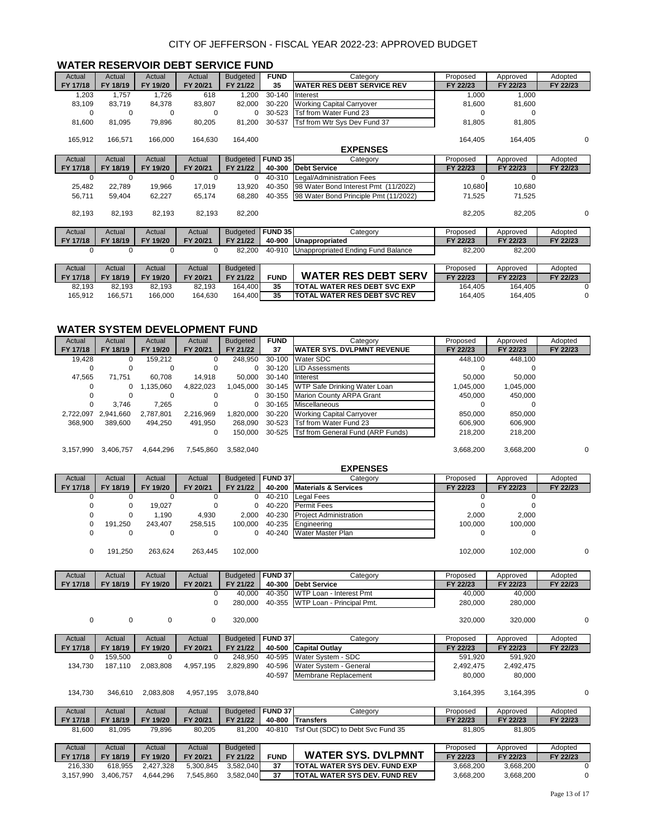| Actual   | Actual   | Actual   | Actual   | <b>Budgeted</b> | <b>FUND</b>    | Category                              | Proposed     | Approved | Adopted  |
|----------|----------|----------|----------|-----------------|----------------|---------------------------------------|--------------|----------|----------|
| FY 17/18 | FY 18/19 | FY 19/20 | FY 20/21 | FY 21/22        | 35             | <b>WATER RES DEBT SERVICE REV</b>     | FY 22/23     | FY 22/23 | FY 22/23 |
| 1,203    | 1,757    | 1,726    | 618      | 1,200           | 30-140         | Interest                              | 1,000        | 1,000    |          |
| 83,109   | 83,719   | 84,378   | 83,807   | 82,000          | 30-220         | <b>Working Capital Carryover</b>      | 81,600       | 81,600   |          |
| 0        | $\Omega$ | 0        | 0        | $\Omega$        | 30-523         | Tsf from Water Fund 23                | <sup>0</sup> |          |          |
| 81,600   | 81,095   | 79,896   | 80,205   | 81,200          | 30-537         | Tsf from Wtr Sys Dev Fund 37          | 81,805       | 81,805   |          |
|          |          |          |          |                 |                |                                       |              |          |          |
| 165,912  | 166,571  | 166,000  | 164,630  | 164,400         |                |                                       | 164,405      | 164,405  | $\Omega$ |
|          |          |          |          |                 |                | <b>EXPENSES</b>                       |              |          |          |
| Actual   | Actual   | Actual   | Actual   | <b>Budgeted</b> | <b>FUND 35</b> | Category                              | Proposed     | Approved | Adopted  |
| FY 17/18 | FY 18/19 | FY 19/20 | FY 20/21 | FY 21/22        | 40-300         | <b>Debt Service</b>                   | FY 22/23     | FY 22/23 | FY 22/23 |
| $\Omega$ | $\Omega$ | $\Omega$ | $\Omega$ | 0               | 40-310         | Legal/Administration Fees             | $\Omega$     | $\Omega$ |          |
| 25,482   | 22,789   | 19,966   | 17,019   | 13,920          | 40-350         | 98 Water Bond Interest Pmt (11/2022)  | 10,680       | 10,680   |          |
| 56,711   | 59,404   | 62,227   | 65,174   | 68,280          | 40-355         | 98 Water Bond Principle Pmt (11/2022) | 71,525       | 71,525   |          |
|          |          |          |          |                 |                |                                       |              |          |          |
| 82,193   | 82,193   | 82,193   | 82,193   | 82,200          |                |                                       | 82,205       | 82,205   | 0        |
|          |          |          |          |                 |                |                                       |              |          |          |
| Actual   | Actual   | Actual   | Actual   | <b>Budgeted</b> | <b>FUND 35</b> | Category                              | Proposed     | Approved | Adopted  |
| FY 17/18 | FY 18/19 | FY 19/20 | FY 20/21 | FY 21/22        | 40-900         | Unappropriated                        | FY 22/23     | FY 22/23 | FY 22/23 |
| $\Omega$ | $\Omega$ | $\Omega$ | 0        | 82,200          | 40-910         | Unappropriated Ending Fund Balance    | 82,200       | 82,200   |          |
|          |          |          |          |                 |                |                                       |              |          |          |
| Actual   | Actual   | Actual   | Actual   | <b>Budgeted</b> |                |                                       | Proposed     | Approved | Adopted  |
| FY 17/18 | FY 18/19 | FY 19/20 | FY 20/21 | FY 21/22        | <b>FUND</b>    | <b>WATER RES DEBT SERV</b>            | FY 22/23     | FY 22/23 | FY 22/23 |
| 82,193   | 82,193   | 82,193   | 82,193   | 164,400         | 35             | TOTAL WATER RES DEBT SVC EXP          | 164,405      | 164,405  | 0        |
| 165,912  | 166,571  | 166,000  | 164,630  | 164,400         | 35             | <b>ITOTAL WATER RES DEBT SVC REV</b>  | 164,405      | 164,405  | 0        |

#### **WATER RESERVOIR DEBT SERVICE FUND**

#### **WATER SYSTEM DEVELOPMENT FUND**

| Actual    | Actual    | Actual    | Actual    | <b>Budgeted</b> | <b>FUND</b> | Category                                 | Proposed  | Approved  | Adopted  |
|-----------|-----------|-----------|-----------|-----------------|-------------|------------------------------------------|-----------|-----------|----------|
| FY 17/18  | FY 18/19  | FY 19/20  | FY 20/21  | FY 21/22        | 37          | <b>IWATER SYS. DVLPMNT REVENUE</b>       | FY 22/23  | FY 22/23  | FY 22/23 |
| 19.428    | 0         | 159.212   | O         | 248.950         | 30-100      | Water SDC                                | 448.100   | 448.100   |          |
| 0         | 0         | 0         | 0         |                 | 30-120      | <b>LID Assessments</b>                   |           |           |          |
| 47.565    | 71.751    | 60.708    | 14.918    | 50.000          | 30-140      | Interest                                 | 50,000    | 50.000    |          |
| 0         | 0         | 1.135.060 | 4,822,023 | 1.045.000       |             | 30-145 WTP Safe Drinking Water Loan      | 1.045.000 | 1,045,000 |          |
|           | 0         | $\Omega$  |           |                 | 30-150      | Marion County ARPA Grant                 | 450.000   | 450.000   |          |
| 0         | 3.746     | 7.265     | 0         |                 | 30-165      | Miscellaneous                            |           |           |          |
| 2,722,097 | 2.941.660 | 2,787,801 | 2,216,969 | 1.820.000       | 30-220      | <b>Working Capital Carryover</b>         | 850.000   | 850.000   |          |
| 368,900   | 389.600   | 494.250   | 491.950   | 268.090         | 30-523      | Tsf from Water Fund 23                   | 606.900   | 606.900   |          |
|           |           |           | 0         | 150.000         |             | 30-525 Tsf from General Fund (ARP Funds) | 218,200   | 218,200   |          |
| 3.157.990 | 3.406.757 | 4.644.296 | 7.545.860 | 3.582.040       |             |                                          | 3.668.200 | 3.668.200 | $\Omega$ |

|          |          |          |          |          |                 | <b>EXPENSES</b>               |          |          |          |
|----------|----------|----------|----------|----------|-----------------|-------------------------------|----------|----------|----------|
| Actual   | Actual   | Actual   | Actual   | Budgeted | <b>IFUND 37</b> | Category                      | Proposed | Approved | Adopted  |
| FY 17/18 | FY 18/19 | FY 19/20 | FY 20/21 | FY 21/22 |                 | 40-200 Materials & Services   | FY 22/23 | FY 22/23 | FY 22/23 |
|          |          |          |          | 0.       | 40-210          | <b>Legal Fees</b>             |          |          |          |
|          |          | 19.027   | 0        | 0        | 40-220          | <b>Permit Fees</b>            |          |          |          |
|          |          | 1.190    | 4.930    | 2.000    | 40-230          | <b>Project Administration</b> | 2.000    | 2.000    |          |
|          | 191,250  | 243.407  | 258,515  | 100.000  | 40-235          | Engineering                   | 100.000  | 100,000  |          |
|          |          |          | 0        |          |                 | 40-240 Water Master Plan      |          | 0        |          |
|          | 191.250  | 263.624  | 263.445  | 102.000  |                 |                               | 102.000  | 102.000  |          |

| Actual    | Actual      | Actual    | Actual    | <b>Budgeted</b> | <b>FUND 37</b> | Category                          | Proposed  | Approved  | Adopted  |
|-----------|-------------|-----------|-----------|-----------------|----------------|-----------------------------------|-----------|-----------|----------|
| FY 17/18  | FY 18/19    | FY 19/20  | FY 20/21  | FY 21/22        | 40-300         | <b>Debt Service</b>               | FY 22/23  | FY 22/23  | FY 22/23 |
|           |             |           | 0         | 40,000          | 40-350         | WTP Loan - Interest Pmt           | 40,000    | 40,000    |          |
|           |             |           | 0         | 280,000         | 40-355         | WTP Loan - Principal Pmt.         | 280,000   | 280,000   |          |
| $\Omega$  | $\mathbf 0$ | 0         | 0         | 320,000         |                |                                   | 320,000   | 320,000   | $\Omega$ |
| Actual    | Actual      | Actual    | Actual    | <b>Budgeted</b> | FUND 37        | Category                          | Proposed  | Approved  | Adopted  |
| FY 17/18  | FY 18/19    | FY 19/20  | FY 20/21  | FY 21/22        | 40-500         | <b>Capital Outlay</b>             | FY 22/23  | FY 22/23  | FY 22/23 |
| 0         | 159,500     | 0         | 0         | 248,950         | 40-595         | Water System - SDC                | 591,920   | 591,920   |          |
| 134,730   | 187,110     | 2,083,808 | 4,957,195 | 2,829,890       | 40-596         | Water System - General            | 2,492,475 | 2,492,475 |          |
|           |             |           |           |                 | 40-597         | Membrane Replacement              | 80,000    | 80,000    |          |
| 134,730   | 346,610     | 2,083,808 | 4,957,195 | 3,078,840       |                |                                   | 3,164,395 | 3,164,395 |          |
| Actual    | Actual      | Actual    | Actual    | <b>Budgeted</b> | <b>FUND 37</b> | Category                          | Proposed  | Approved  | Adopted  |
| FY 17/18  | FY 18/19    | FY 19/20  | FY 20/21  | FY 21/22        | 40-800         | <b>Transfers</b>                  | FY 22/23  | FY 22/23  | FY 22/23 |
| 81,600    | 81,095      | 79,896    | 80,205    | 81,200          | 40-810         | Tsf Out (SDC) to Debt Svc Fund 35 | 81,805    | 81,805    |          |
|           |             |           |           |                 |                |                                   |           |           |          |
| Actual    | Actual      | Actual    | Actual    | <b>Budgeted</b> |                |                                   | Proposed  | Approved  | Adopted  |
| FY 17/18  | FY 18/19    | FY 19/20  | FY 20/21  | FY 21/22        | <b>FUND</b>    | <b>WATER SYS. DVLPMNT</b>         | FY 22/23  | FY 22/23  | FY 22/23 |
| 216,330   | 618,955     | 2,427,328 | 5,300,845 | 3,582,040       | 37             | TOTAL WATER SYS DEV. FUND EXP     | 3,668,200 | 3,668,200 | $\Omega$ |
| 3,157,990 | 3,406,757   | 4,644,296 | 7,545,860 | 3,582,040       | 37             | TOTAL WATER SYS DEV. FUND REV     | 3,668,200 | 3,668,200 | 0        |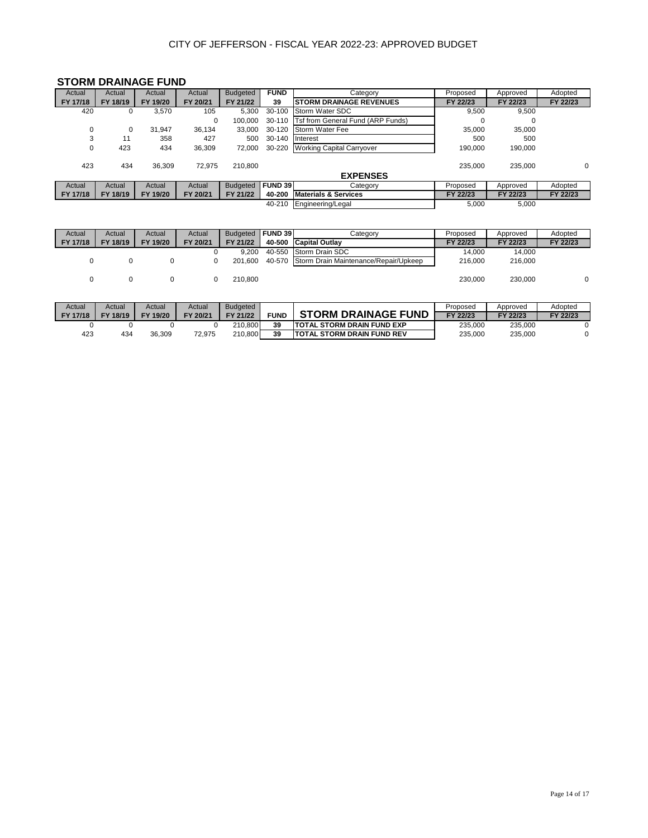# **STORM DRAINAGE FUND**

| Actual   | Actual   | Actual   | Actual   | <b>Budgeted</b> | <b>FUND</b>    | Category                          | Proposed | Approved | Adopted  |
|----------|----------|----------|----------|-----------------|----------------|-----------------------------------|----------|----------|----------|
| FY 17/18 | FY 18/19 | FY 19/20 | FY 20/21 | FY 21/22        | 39             | <b>ISTORM DRAINAGE REVENUES</b>   | FY 22/23 | FY 22/23 | FY 22/23 |
| 420      | 0        | 3.570    | 105      | 5.300           | 30-100         | Storm Water SDC                   | 9,500    | 9.500    |          |
|          |          |          | 0        | 100.000         | 30-110         | Tsf from General Fund (ARP Funds) | 0        |          |          |
| 0        | 0        | 31.947   | 36.134   | 33.000          | 30-120         | Storm Water Fee                   | 35,000   | 35,000   |          |
| 3        |          | 358      | 427      | 500             | 30-140         | Interest                          | 500      | 500      |          |
| 0        | 423      | 434      | 36,309   | 72,000          | 30-220         | <b>Working Capital Carryover</b>  | 190,000  | 190,000  |          |
|          |          |          |          |                 |                |                                   |          |          |          |
| 423      | 434      | 36.309   | 72.975   | 210.800         |                |                                   | 235.000  | 235.000  | 0        |
|          |          |          |          |                 |                | <b>EXPENSES</b>                   |          |          |          |
| Actual   | Actual   | Actual   | Actual   | <b>Budgeted</b> | <b>FUND 39</b> | Category                          | Proposed | Approved | Adopted  |
| FY 17/18 | FY 18/19 | FY 19/20 | FY 20/21 | FY 21/22        | 40-200         | <b>Materials &amp; Services</b>   | FY 22/23 | FY 22/23 | FY 22/23 |
|          |          |          |          |                 | 40-210         | Engineering/Legal                 | 5,000    | 5,000    |          |

| Actual   | Actual   | Actual   | Actual   | <b>Budgeted</b> | <b>IFUND 39</b> | Category                                     | Proposed | Approved | Adopted  |
|----------|----------|----------|----------|-----------------|-----------------|----------------------------------------------|----------|----------|----------|
| FY 17/18 | FY 18/19 | FY 19/20 | FY 20/21 | FY 21/22        |                 | 40-500 Capital Outlay                        | FY 22/23 | FY 22/23 | FY 22/23 |
|          |          |          |          | 9.200           |                 | 40-550 Storm Drain SDC                       | 14.000   | 14.000   |          |
|          |          |          |          | 201.600         |                 | 40-570 Storm Drain Maintenance/Repair/Upkeep | 216,000  | 216,000  |          |
|          |          |          |          | 210.800         |                 |                                              | 230.000  | 230,000  |          |

| Actual   | Actual   | Actual             | Actual   | <b>Budgeted</b> |             |                                    | Proposed | Approved | Adopted  |
|----------|----------|--------------------|----------|-----------------|-------------|------------------------------------|----------|----------|----------|
| FY 17/18 | FY 18/19 | 19/20<br><b>FY</b> | FY 20/21 | FY 21/22        | <b>FUND</b> | <b>STORM DRAINAGE FUND</b>         | FY 22/23 | FY 22/23 | FY 22/23 |
|          |          |                    |          | 210.800         | 39          | <b>ITOTAL STORM DRAIN FUND EXP</b> | 235.000  | 235.000  |          |
| 423      | 434      | 36.309             | 72.975   | 210.800         | 39          | <b>ITOTAL STORM DRAIN FUND REV</b> | 235.000  | 235.000  |          |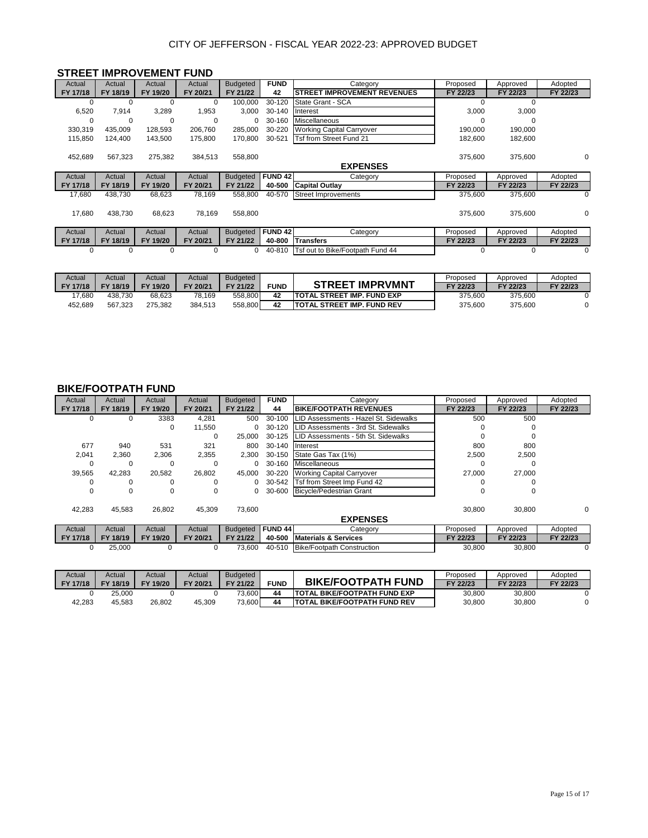|          |          | <b>STREET IMPROVEMENT FUND</b> |          |                 |                |                                    |          |          |          |
|----------|----------|--------------------------------|----------|-----------------|----------------|------------------------------------|----------|----------|----------|
| Actual   | Actual   | Actual                         | Actual   | <b>Budgeted</b> | <b>FUND</b>    | Category                           | Proposed | Approved | Adopted  |
| FY 17/18 | FY 18/19 | FY 19/20                       | FY 20/21 | FY 21/22        | 42             | <b>STREET IMPROVEMENT REVENUES</b> | FY 22/23 | FY 22/23 | FY 22/23 |
| O        | $\Omega$ | $\Omega$                       | $\Omega$ | 100.000         | 30-120         | State Grant - SCA                  | $\Omega$ | $\Omega$ |          |
| 6,520    | 7.914    | 3,289                          | 1,953    | 3.000           | 30-140         | Interest                           | 3,000    | 3,000    |          |
| 0        | 0        | $\Omega$                       | $\Omega$ | 0               | 30-160         | Miscellaneous                      | $\Omega$ |          |          |
| 330,319  | 435,009  | 128,593                        | 206,760  | 285,000         | 30-220         | <b>Working Capital Carryover</b>   | 190,000  | 190,000  |          |
| 115,850  | 124,400  | 143,500                        | 175,800  | 170,800         | 30-521         | Tsf from Street Fund 21            | 182,600  | 182,600  |          |
|          |          |                                |          |                 |                |                                    |          |          |          |
| 452,689  | 567.323  | 275,382                        | 384.513  | 558,800         |                |                                    | 375,600  | 375,600  | 0        |
|          |          |                                |          |                 |                | <b>EXPENSES</b>                    |          |          |          |
| Actual   | Actual   | Actual                         | Actual   | <b>Budgeted</b> | <b>FUND 42</b> | Category                           | Proposed | Approved | Adopted  |
| FY 17/18 | FY 18/19 | FY 19/20                       | FY 20/21 | FY 21/22        | 40-500         | <b>Capital Outlay</b>              | FY 22/23 | FY 22/23 | FY 22/23 |
| 17,680   | 438.730  | 68,623                         | 78,169   | 558,800         | 40-570         | <b>Street Improvements</b>         | 375,600  | 375.600  | $\Omega$ |
|          |          |                                |          |                 |                |                                    |          |          |          |
| 17,680   | 438.730  | 68,623                         | 78,169   | 558,800         |                |                                    | 375,600  | 375,600  | 0        |
|          |          |                                |          |                 |                |                                    |          |          |          |
| Actual   | Actual   | Actual                         | Actual   | <b>Budgeted</b> | <b>FUND 42</b> | Category                           | Proposed | Approved | Adopted  |
| FY 17/18 | FY 18/19 | FY 19/20                       | FY 20/21 | FY 21/22        | 40-800         | <b>Transfers</b>                   | FY 22/23 | FY 22/23 | FY 22/23 |
| $\Omega$ | 0        | $\mathbf 0$                    |          | $\Omega$        | 40-810         | Tsf out to Bike/Footpath Fund 44   | $\Omega$ | $\Omega$ | $\Omega$ |
|          |          |                                |          |                 |                |                                    |          |          |          |

| Actual   | Actual   | Actual             | Actual   | <b>Budgeted</b> |             |                                    | Proposed | Approved | Adopted  |
|----------|----------|--------------------|----------|-----------------|-------------|------------------------------------|----------|----------|----------|
| FY 17/18 | FY 18/19 | <b>FY</b><br>19/20 | FY 20/21 | FY 21/22        | <b>FUND</b> | <b>IMPRVMNT</b><br><b>STREET</b>   | FY 22/23 | FY 22/23 | FY 22/23 |
| 7.680    | 438.730  | 68.623             | 78.169   | 558.800         | 42          | <b>ITOTAL STREET IMP. FUND EXP</b> | 375.600  | 375.600  |          |
| 452.689  | 567.323  | 275.382            | 384.513  | 558,800         | 42          | ITOTAL STREET IMP. FUND REV        | 375.600  | 375.600  |          |

#### **BIKE/FOOTPATH FUND**

| Actual   | Actual   | Actual   | Actual   | <b>Budgeted</b> | <b>FUND</b>        | Category                              | Proposed | Approved | Adopted  |
|----------|----------|----------|----------|-----------------|--------------------|---------------------------------------|----------|----------|----------|
| FY 17/18 | FY 18/19 | FY 19/20 | FY 20/21 | FY 21/22        | 44                 | <b>BIKE/FOOTPATH REVENUES</b>         | FY 22/23 | FY 22/23 | FY 22/23 |
| 0        | 0        | 3383     | 4,281    | 500             | 30-100             | LID Assessments - Hazel St. Sidewalks | 500      | 500      |          |
|          |          | 0        | 11,550   | 0               | 30-120             | LID Assessments - 3rd St. Sidewalks   |          | 0        |          |
|          |          |          | $\Omega$ | 25.000          | 30-125             | LID Assessments - 5th St. Sidewalks   |          |          |          |
| 677      | 940      | 531      | 321      | 800             | 30-140             | Interest                              | 800      | 800      |          |
| 2,041    | 2,360    | 2,306    | 2,355    | 2,300           | 30-150             | State Gas Tax (1%)                    | 2,500    | 2,500    |          |
| 0        | 0        | $\Omega$ |          | 0               | 30-160             | Miscellaneous                         |          |          |          |
| 39,565   | 42,283   | 20,582   | 26,802   | 45,000          | 30-220             | <b>Working Capital Carryover</b>      | 27,000   | 27,000   |          |
| 0        | 0        | 0        | 0        | 0               | 30-542             | Tsf from Street Imp Fund 42           |          |          |          |
| $\Omega$ | 0        | $\Omega$ | $\Omega$ | 0               | 30-600             | Bicycle/Pedestrian Grant              | $\Omega$ | $\Omega$ |          |
|          |          |          |          |                 |                    |                                       |          |          |          |
| 42,283   | 45,583   | 26,802   | 45.309   | 73.600          |                    |                                       | 30.800   | 30,800   | 0        |
|          |          |          |          |                 |                    | <b>EXPENSES</b>                       |          |          |          |
| Actual   | Actual   | Actual   | Actual   | <b>Budgeted</b> | FUND <sub>44</sub> | Category                              | Proposed | Approved | Adopted  |
| FY 17/18 | FY 18/19 | FY 19/20 | FY 20/21 | FY 21/22        | 40-500             | <b>Materials &amp; Services</b>       | FY 22/23 | FY 22/23 | FY 22/23 |
| 0        | 25.000   | 0        |          | 73.600          | 40-510             | <b>Bike/Footpath Construction</b>     | 30.800   | 30,800   |          |

| Actual          | Actual   | Actual             | Actual   | <b>Budgeted</b> |             |                                      | Proposed | Approved | Adopted  |
|-----------------|----------|--------------------|----------|-----------------|-------------|--------------------------------------|----------|----------|----------|
| <b>FY 17/18</b> | FY 18/19 | <b>FY</b><br>19/20 | FY 20/21 | FY 21/22        | <b>FUND</b> | <b>BIKE/FOOTPATH FUND</b>            | FY 22/23 | FY 22/23 | FY 22/23 |
|                 | 25.000   |                    |          | 73,600          | 44          | <b>ITOTAL BIKE/FOOTPATH FUND EXP</b> | 30,800   | 30,800   |          |
| 42,283          | 45.583   | 26.802             | 45.309   | 73,600          | 44          | . BIKE/FOOTPATH FUND REV             | 30,800   | 30,800   |          |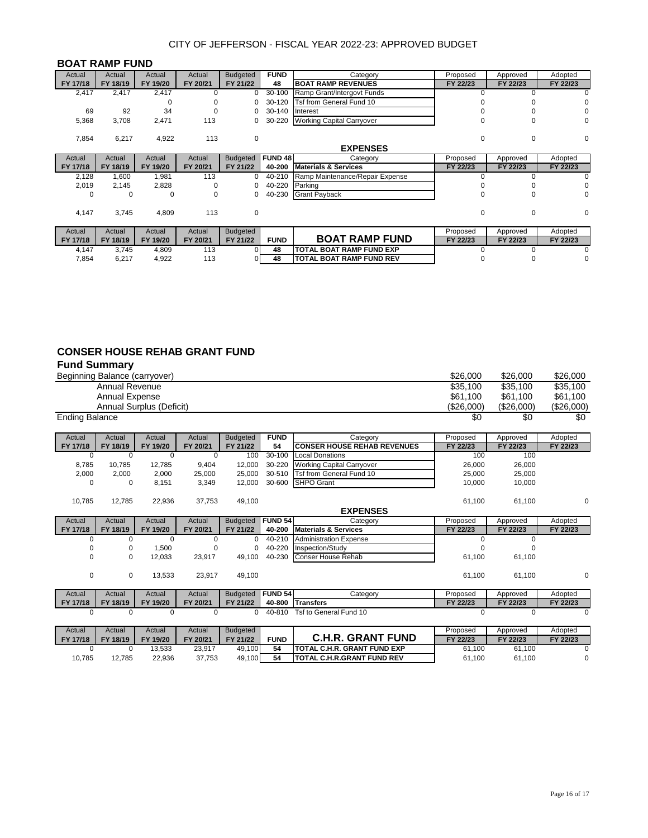#### **BOAT RAMP FUND**

| Actual   | Actual   | Actual   | Actual   | <b>Budgeted</b> | <b>FUND</b> | Category                         | Proposed     | Approved | Adopted  |
|----------|----------|----------|----------|-----------------|-------------|----------------------------------|--------------|----------|----------|
| FY 17/18 | FY 18/19 | FY 19/20 | FY 20/21 | FY 21/22        | 48          | <b>BOAT RAMP REVENUES</b>        | FY 22/23     | FY 22/23 | FY 22/23 |
| 2,417    | 2,417    | 2,417    | 0        | 0               | 30-100      | Ramp Grant/Intergovt Funds       | U            |          | 0        |
|          |          |          | O        |                 | 30-120      | Tsf from General Fund 10         |              |          | 0        |
| 69       | 92       | 34       | $\Omega$ |                 | 30-140      | Interest                         |              |          | 0        |
| 5,368    | 3,708    | 2,471    | 113      | 0               | 30-220      | <b>Working Capital Carryover</b> | $\Omega$     |          | 0        |
|          |          |          |          |                 |             |                                  |              |          |          |
| 7,854    | 6,217    | 4,922    | 113      | 0               |             |                                  | $\Omega$     | $\Omega$ | 0        |
|          |          |          |          |                 |             | <b>EXPENSES</b>                  |              |          |          |
| Actual   | Actual   | Actual   | Actual   | <b>Budgeted</b> | FUND 48     | Category                         | Proposed     | Approved | Adopted  |
| FY 17/18 | FY 18/19 | FY 19/20 | FY 20/21 | FY 21/22        | 40-200      | <b>Materials &amp; Services</b>  | FY 22/23     | FY 22/23 | FY 22/23 |
| 2,128    | 1,600    | 1,981    | 113      | 0               | 40-210      | Ramp Maintenance/Repair Expense  |              |          | ი        |
| 2,019    | 2,145    | 2,828    | $\Omega$ | 0               | 40-220      | Parking                          |              |          | 0        |
| 0        | 0        | 0        | 0        | 0               | 40-230      | <b>Grant Payback</b>             | <sup>0</sup> |          | 0        |
|          |          |          |          |                 |             |                                  |              |          |          |
| 4,147    | 3,745    | 4,809    | 113      | 0               |             |                                  | 0            | $\Omega$ | 0        |
|          |          |          |          |                 |             |                                  |              |          |          |
| Actual   | Actual   | Actual   | Actual   | <b>Budgeted</b> |             |                                  | Proposed     | Approved | Adopted  |
| FY 17/18 | FY 18/19 | FY 19/20 | FY 20/21 | FY 21/22        | <b>FUND</b> | <b>BOAT RAMP FUND</b>            | FY 22/23     | FY 22/23 | FY 22/23 |
| 4,147    | 3,745    | 4,809    | 113      |                 | 48          | <b>TOTAL BOAT RAMP FUND EXP</b>  |              |          |          |
| 7,854    | 6,217    | 4,922    | 113      |                 | 48          | <b>TOTAL BOAT RAMP FUND REV</b>  |              |          | 0        |

#### **CONSER HOUSE REHAB GRANT FUND Fund Summary**

| r unu Junniary        |                       |                               |          |                 |                |                                    |            |            |            |
|-----------------------|-----------------------|-------------------------------|----------|-----------------|----------------|------------------------------------|------------|------------|------------|
|                       |                       | Beginning Balance (carryover) |          |                 |                |                                    | \$26,000   | \$26,000   | \$26,000   |
|                       | <b>Annual Revenue</b> |                               |          |                 |                |                                    | \$35,100   | \$35,100   | \$35,100   |
|                       | Annual Expense        |                               |          |                 |                |                                    | \$61,100   | \$61,100   | \$61,100   |
|                       |                       | Annual Surplus (Deficit)      |          |                 |                |                                    | (\$26,000) | (\$26,000) | (\$26,000) |
| <b>Ending Balance</b> |                       |                               |          |                 |                |                                    | \$0        | \$0        | \$0        |
| Actual                | Actual                | Actual                        | Actual   | <b>Budgeted</b> | <b>FUND</b>    | Category                           | Proposed   | Approved   | Adopted    |
| FY 17/18              | FY 18/19              | FY 19/20                      | FY 20/21 | FY 21/22        | 54             | <b>CONSER HOUSE REHAB REVENUES</b> | FY 22/23   | FY 22/23   | FY 22/23   |
| $\Omega$              | $\Omega$              | $\Omega$                      | $\Omega$ | 100             | $30 - 100$     | <b>Local Donations</b>             | 100        | 100        |            |
| 8,785                 | 10.785                | 12,785                        | 9,404    | 12,000          | 30-220         | <b>Working Capital Carryover</b>   | 26,000     | 26,000     |            |
| 2,000                 | 2,000                 | 2,000                         | 25,000   | 25,000          | 30-510         | Tsf from General Fund 10           | 25,000     | 25,000     |            |
| $\Omega$              | <sup>0</sup>          | 8,151                         | 3,349    | 12,000          | 30-600         | <b>SHPO Grant</b>                  | 10,000     | 10,000     |            |
| 10,785                | 12.785                | 22,936                        | 37,753   | 49,100          |                |                                    | 61,100     | 61,100     | 0          |
|                       |                       |                               |          |                 |                | <b>EXPENSES</b>                    |            |            |            |
| Actual                | Actual                | Actual                        | Actual   | <b>Budgeted</b> | <b>FUND 54</b> | Category                           | Proposed   | Approved   | Adopted    |
| FY 17/18              | FY 18/19              | FY 19/20                      | FY 20/21 | FY 21/22        | 40-200         | <b>Materials &amp; Services</b>    | FY 22/23   | FY 22/23   | FY 22/23   |
| 0                     | $\Omega$              | $\Omega$                      | $\Omega$ | $\Omega$        | 40-210         | <b>Administration Expense</b>      |            | $\Omega$   |            |
|                       | 0                     | 1,500                         |          | 0               | 40-220         | Inspection/Study                   |            |            |            |
| 0                     | 0                     | 12,033                        | 23,917   | 49.100          | 40-230         | Conser House Rehab                 | 61.100     | 61,100     |            |
| 0                     | $\mathbf 0$           | 13,533                        | 23,917   | 49,100          |                |                                    | 61.100     | 61,100     | 0          |
| Actual                | Actual                | Actual                        | Actual   | <b>Budgeted</b> | <b>FUND 54</b> | Category                           | Proposed   | Approved   | Adopted    |
| FY 17/18              | FY 18/19              | FY 19/20                      | FY 20/21 | FY 21/22        | 40-800         | <b>Transfers</b>                   | FY 22/23   | FY 22/23   | FY 22/23   |
| $\Omega$              | 0                     | 0                             | 0        | 0               | 40-810         | Tsf to General Fund 10             | 0          | 0          | 0          |

| Actual   | Actual   | Actual             | Actual   | <b>Budgeted</b> |             |                                              | Proposed | Approved | Adopted  |
|----------|----------|--------------------|----------|-----------------|-------------|----------------------------------------------|----------|----------|----------|
| FY 17/18 | FY 18/19 | 19/20<br><b>FV</b> | FY 20/21 | FY 21/22        | <b>FUND</b> | . GRANT FUND<br>C.H.R.                       | FY 22/23 | FY 22/23 | FY 22/23 |
|          |          | 13.533             | 23,917   | 49.100          | 54          | <b>ITOTAL C.H.R. GRANT FUND EXP</b>          | 61.100   | 61,100   |          |
| 10,785   | 12.785   | 22,936             | 37,753   | 49,100          | 54          | <b>FUND REV</b><br><b>ITOTAL C.H.R.GRANT</b> | 61,100   | 61,100   |          |